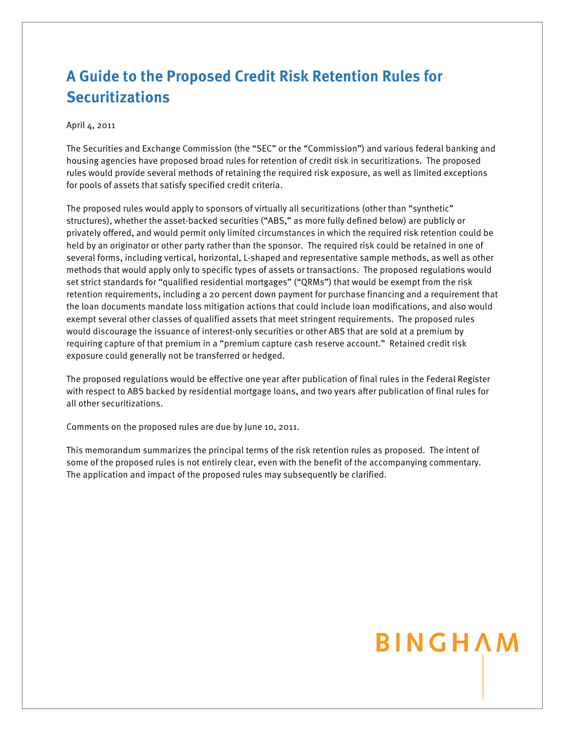## **A Guide to the Proposed Credit Risk Retention Rules for Securitizations**

#### April 4, 2011

The Securities and Exchange Commission (the "SEC" or the "Commission") and various federal banking and housing agencies have proposed broad rules for retention of credit risk in securitizations. The proposed rules would provide several methods of retaining the required risk exposure, as well as limited exceptions for pools of assets that satisfy specified credit criteria.

The proposed rules would apply to sponsors of virtually all securitizations (other than "synthetic" structures), whether the asset-backed securities ("ABS," as more fully defined below) are publicly or privately offered, and would permit only limited circumstances in which the required risk retention could be held by an originator or other party rather than the sponsor. The required risk could be retained in one of several forms, including vertical, horizontal, L-shaped and representative sample methods, as well as other methods that would apply only to specific types of assets or transactions. The proposed regulations would set strict standards for "qualified residential mortgages" ("QRMs") that would be exempt from the risk retention requirements, including a 20 percent down payment for purchase financing and a requirement that the loan documents mandate loss mitigation actions that could include loan modifications, and also would exempt several other classes of qualified assets that meet stringent requirements. The proposed rules would discourage the issuance of interest-only securities or other ABS that are sold at a premium by requiring capture of that premium in a "premium capture cash reserve account." Retained credit risk exposure could generally not be transferred or hedged.

The proposed regulations would be effective one year after publication of final rules in the Federal Register with respect to ABS backed by residential mortgage loans, and two years after publication of final rules for all other securitizations.

Comments on the proposed rules are due by June 10, 2011.

This memorandum summarizes the principal terms of the risk retention rules as proposed. The intent of some of the proposed rules is not entirely clear, even with the benefit of the accompanying commentary. The application and impact of the proposed rules may subsequently be clarified.

# BINGHAM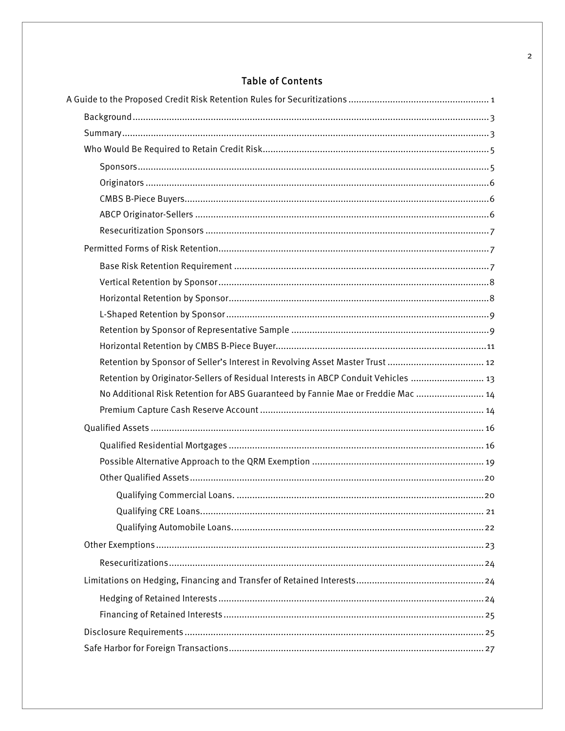### **Table of Contents**

| Retention by Sponsor of Seller's Interest in Revolving Asset Master Trust  12      |
|------------------------------------------------------------------------------------|
| Retention by Originator-Sellers of Residual Interests in ABCP Conduit Vehicles  13 |
| No Additional Risk Retention for ABS Guaranteed by Fannie Mae or Freddie Mac  14   |
|                                                                                    |
|                                                                                    |
|                                                                                    |
|                                                                                    |
|                                                                                    |
|                                                                                    |
|                                                                                    |
|                                                                                    |
|                                                                                    |
|                                                                                    |
|                                                                                    |
|                                                                                    |
|                                                                                    |
|                                                                                    |
|                                                                                    |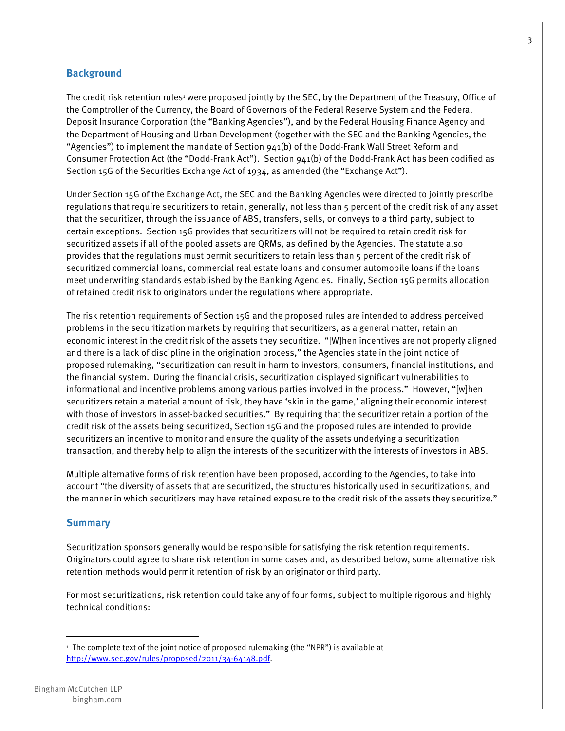#### **Background**

The credit risk retention rules<sup>1</sup> were proposed jointly by the SEC, by the Department of the Treasury, Office of the Comptroller of the Currency, the Board of Governors of the Federal Reserve System and the Federal Deposit Insurance Corporation (the "Banking Agencies"), and by the Federal Housing Finance Agency and the Department of Housing and Urban Development (together with the SEC and the Banking Agencies, the "Agencies") to implement the mandate of Section 941(b) of the Dodd-Frank Wall Street Reform and Consumer Protection Act (the "Dodd-Frank Act"). Section 941(b) of the Dodd-Frank Act has been codified as Section 15G of the Securities Exchange Act of 1934, as amended (the "Exchange Act").

Under Section 15G of the Exchange Act, the SEC and the Banking Agencies were directed to jointly prescribe regulations that require securitizers to retain, generally, not less than 5 percent of the credit risk of any asset that the securitizer, through the issuance of ABS, transfers, sells, or conveys to a third party, subject to certain exceptions. Section 15G provides that securitizers will not be required to retain credit risk for securitized assets if all of the pooled assets are QRMs, as defined by the Agencies. The statute also provides that the regulations must permit securitizers to retain less than 5 percent of the credit risk of securitized commercial loans, commercial real estate loans and consumer automobile loans if the loans meet underwriting standards established by the Banking Agencies. Finally, Section 15G permits allocation of retained credit risk to originators under the regulations where appropriate.

The risk retention requirements of Section 15G and the proposed rules are intended to address perceived problems in the securitization markets by requiring that securitizers, as a general matter, retain an economic interest in the credit risk of the assets they securitize. "[W]hen incentives are not properly aligned and there is a lack of discipline in the origination process," the Agencies state in the joint notice of proposed rulemaking, "securitization can result in harm to investors, consumers, financial institutions, and the financial system. During the financial crisis, securitization displayed significant vulnerabilities to informational and incentive problems among various parties involved in the process." However, "[w]hen securitizers retain a material amount of risk, they have 'skin in the game,' aligning their economic interest with those of investors in asset-backed securities." By requiring that the securitizer retain a portion of the credit risk of the assets being securitized, Section 15G and the proposed rules are intended to provide securitizers an incentive to monitor and ensure the quality of the assets underlying a securitization transaction, and thereby help to align the interests of the securitizer with the interests of investors in ABS.

Multiple alternative forms of risk retention have been proposed, according to the Agencies, to take into account "the diversity of assets that are securitized, the structures historically used in securitizations, and the manner in which securitizers may have retained exposure to the credit risk of the assets they securitize."

#### **Summary**

Securitization sponsors generally would be responsible for satisfying the risk retention requirements. Originators could agree to share risk retention in some cases and, as described below, some alternative risk retention methods would permit retention of risk by an originator or third party.

For most securitizations, risk retention could take any of four forms, subject to multiple rigorous and highly technical conditions:

 $1$  The complete text of the joint notice of proposed rulemaking (the "NPR") is available at http://www.sec.gov/rules/proposed/2011/34-64148.pdf.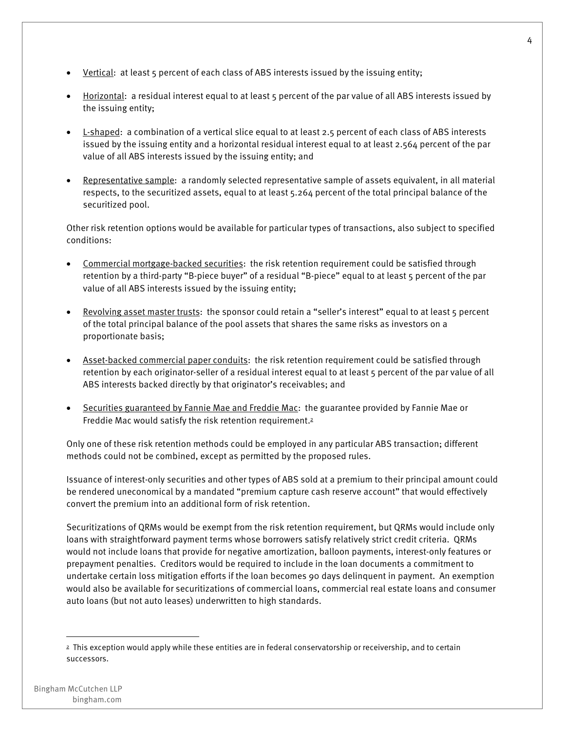- Vertical: at least 5 percent of each class of ABS interests issued by the issuing entity;
- Horizontal: a residual interest equal to at least 5 percent of the par value of all ABS interests issued by the issuing entity;
- L-shaped: a combination of a vertical slice equal to at least 2.5 percent of each class of ABS interests issued by the issuing entity and a horizontal residual interest equal to at least 2.564 percent of the par value of all ABS interests issued by the issuing entity; and
- Representative sample: a randomly selected representative sample of assets equivalent, in all material respects, to the securitized assets, equal to at least 5.264 percent of the total principal balance of the securitized pool.

Other risk retention options would be available for particular types of transactions, also subject to specified conditions:

- Commercial mortgage-backed securities: the risk retention requirement could be satisfied through retention by a third-party "B-piece buyer" of a residual "B-piece" equal to at least 5 percent of the par value of all ABS interests issued by the issuing entity;
- Revolving asset master trusts: the sponsor could retain a "seller's interest" equal to at least 5 percent of the total principal balance of the pool assets that shares the same risks as investors on a proportionate basis;
- Asset-backed commercial paper conduits: the risk retention requirement could be satisfied through retention by each originator-seller of a residual interest equal to at least 5 percent of the par value of all ABS interests backed directly by that originator's receivables; and
- Securities guaranteed by Fannie Mae and Freddie Mac: the guarantee provided by Fannie Mae or Freddie Mac would satisfy the risk retention requirement.2

Only one of these risk retention methods could be employed in any particular ABS transaction; different methods could not be combined, except as permitted by the proposed rules.

Issuance of interest-only securities and other types of ABS sold at a premium to their principal amount could be rendered uneconomical by a mandated "premium capture cash reserve account" that would effectively convert the premium into an additional form of risk retention.

Securitizations of QRMs would be exempt from the risk retention requirement, but QRMs would include only loans with straightforward payment terms whose borrowers satisfy relatively strict credit criteria. QRMs would not include loans that provide for negative amortization, balloon payments, interest-only features or prepayment penalties. Creditors would be required to include in the loan documents a commitment to undertake certain loss mitigation efforts if the loan becomes 90 days delinquent in payment. An exemption would also be available for securitizations of commercial loans, commercial real estate loans and consumer auto loans (but not auto leases) underwritten to high standards.

<sup>&</sup>lt;sup>2</sup> This exception would apply while these entities are in federal conservatorship or receivership, and to certain successors.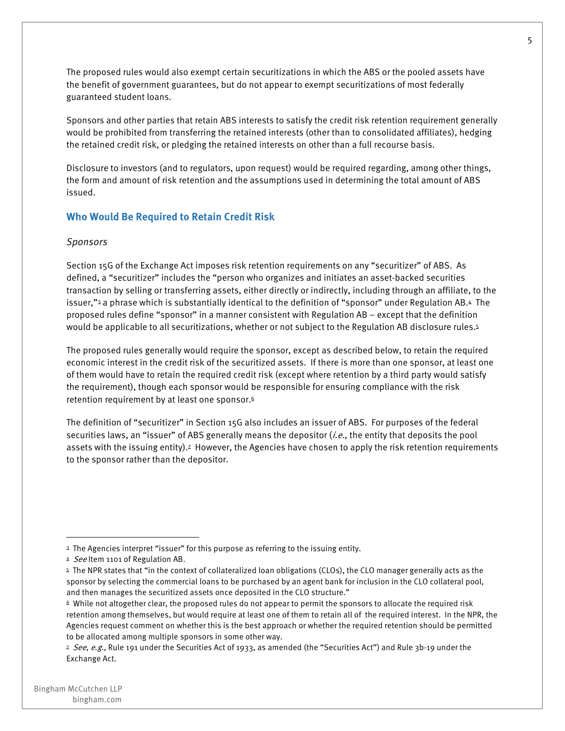The proposed rules would also exempt certain securitizations in which the ABS or the pooled assets have the benefit of government guarantees, but do not appear to exempt securitizations of most federally guaranteed student loans.

Sponsors and other parties that retain ABS interests to satisfy the credit risk retention requirement generally would be prohibited from transferring the retained interests (other than to consolidated affiliates), hedging the retained credit risk, or pledging the retained interests on other than a full recourse basis.

Disclosure to investors (and to regulators, upon request) would be required regarding, among other things, the form and amount of risk retention and the assumptions used in determining the total amount of ABS issued.

#### **Who Would Be Required to Retain Credit Risk**

#### *Sponsors*

Section 15G of the Exchange Act imposes risk retention requirements on any "securitizer" of ABS. As defined, a "securitizer" includes the "person who organizes and initiates an asset-backed securities transaction by selling or transferring assets, either directly or indirectly, including through an affiliate, to the issuer,"3 a phrase which is substantially identical to the definition of "sponsor" under Regulation AB.4 The proposed rules define "sponsor" in a manner consistent with Regulation AB – except that the definition would be applicable to all securitizations, whether or not subject to the Regulation AB disclosure rules.5

The proposed rules generally would require the sponsor, except as described below, to retain the required economic interest in the credit risk of the securitized assets. If there is more than one sponsor, at least one of them would have to retain the required credit risk (except where retention by a third party would satisfy the requirement), though each sponsor would be responsible for ensuring compliance with the risk retention requirement by at least one sponsor. $6$ 

The definition of "securitizer" in Section 15G also includes an issuer of ABS. For purposes of the federal securities laws, an "issuer" of ABS generally means the depositor (*i.e.*, the entity that deposits the pool assets with the issuing entity).<sup>2</sup> However, the Agencies have chosen to apply the risk retention requirements to the sponsor rather than the depositor.

<sup>&</sup>lt;sup>3</sup> The Agencies interpret "issuer" for this purpose as referring to the issuing entity.

<sup>4</sup> See Item 1101 of Regulation AB.

<sup>5</sup> The NPR states that "in the context of collateralized loan obligations (CLOs), the CLO manager generally acts as the sponsor by selecting the commercial loans to be purchased by an agent bank for inclusion in the CLO collateral pool, and then manages the securitized assets once deposited in the CLO structure."

 $6$  While not altogether clear, the proposed rules do not appear to permit the sponsors to allocate the required risk retention among themselves, but would require at least one of them to retain all of the required interest. In the NPR, the Agencies request comment on whether this is the best approach or whether the required retention should be permitted to be allocated among multiple sponsors in some other way.

<sup>&</sup>lt;sup>z</sup> See, e.g., Rule 191 under the Securities Act of 1933, as amended (the "Securities Act") and Rule 3b-19 under the Exchange Act.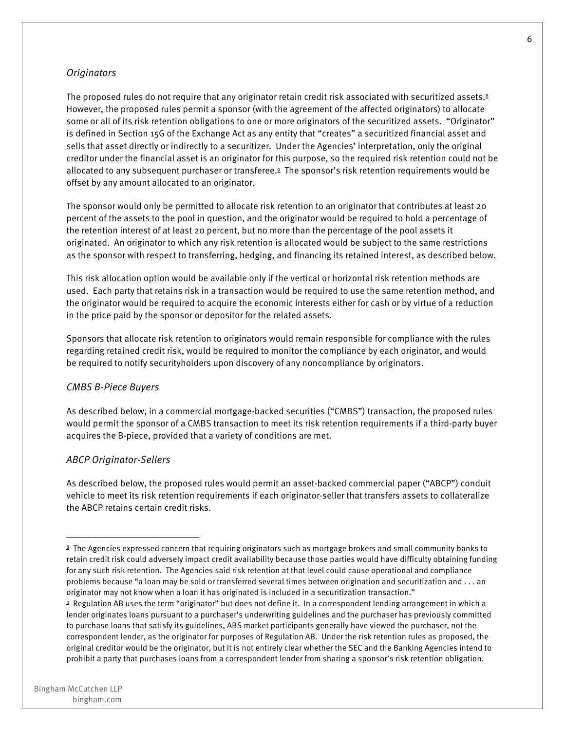#### *Originators*

The proposed rules do not require that any originator retain credit risk associated with securitized assets. $8$ However, the proposed rules permit a sponsor (with the agreement of the affected originators) to allocate some or all of its risk retention obligations to one or more originators of the securitized assets. "Originator" is defined in Section 15G of the Exchange Act as any entity that "creates" a securitized financial asset and sells that asset directly or indirectly to a securitizer. Under the Agencies' interpretation, only the original creditor under the financial asset is an originator for this purpose, so the required risk retention could not be allocated to any subsequent purchaser or transferee.9 The sponsor's risk retention requirements would be offset by any amount allocated to an originator.

The sponsor would only be permitted to allocate risk retention to an originator that contributes at least 20 percent of the assets to the pool in question, and the originator would be required to hold a percentage of the retention interest of at least 20 percent, but no more than the percentage of the pool assets it originated. An originator to which any risk retention is allocated would be subject to the same restrictions as the sponsor with respect to transferring, hedging, and financing its retained interest, as described below.

This risk allocation option would be available only if the vertical or horizontal risk retention methods are used. Each party that retains risk in a transaction would be required to use the same retention method, and the originator would be required to acquire the economic interests either for cash or by virtue of a reduction in the price paid by the sponsor or depositor for the related assets.

Sponsors that allocate risk retention to originators would remain responsible for compliance with the rules regarding retained credit risk, would be required to monitor the compliance by each originator, and would be required to notify securityholders upon discovery of any noncompliance by originators.

#### *CMBS B-Piece Buyers*

As described below, in a commercial mortgage-backed securities ("CMBS") transaction, the proposed rules would permit the sponsor of a CMBS transaction to meet its risk retention requirements if a third-party buyer acquires the B-piece, provided that a variety of conditions are met.

#### *ABCP Originator-Sellers*

As described below, the proposed rules would permit an asset-backed commercial paper ("ABCP") conduit vehicle to meet its risk retention requirements if each originator-seller that transfers assets to collateralize the ABCP retains certain credit risks.

<sup>&</sup>lt;sup>8</sup> The Agencies expressed concern that requiring originators such as mortgage brokers and small community banks to retain credit risk could adversely impact credit availability because those parties would have difficulty obtaining funding for any such risk retention. The Agencies said risk retention at that level could cause operational and compliance problems because "a loan may be sold or transferred several times between origination and securitization and . . . an originator may not know when a loan it has originated is included in a securitization transaction."

<sup>9</sup> Regulation AB uses the term "originator" but does not define it. In a correspondent lending arrangement in which a lender originates loans pursuant to a purchaser's underwriting guidelines and the purchaser has previously committed to purchase loans that satisfy its guidelines, ABS market participants generally have viewed the purchaser, not the correspondent lender, as the originator for purposes of Regulation AB. Under the risk retention rules as proposed, the original creditor would be the originator, but it is not entirely clear whether the SEC and the Banking Agencies intend to prohibit a party that purchases loans from a correspondent lender from sharing a sponsor's risk retention obligation.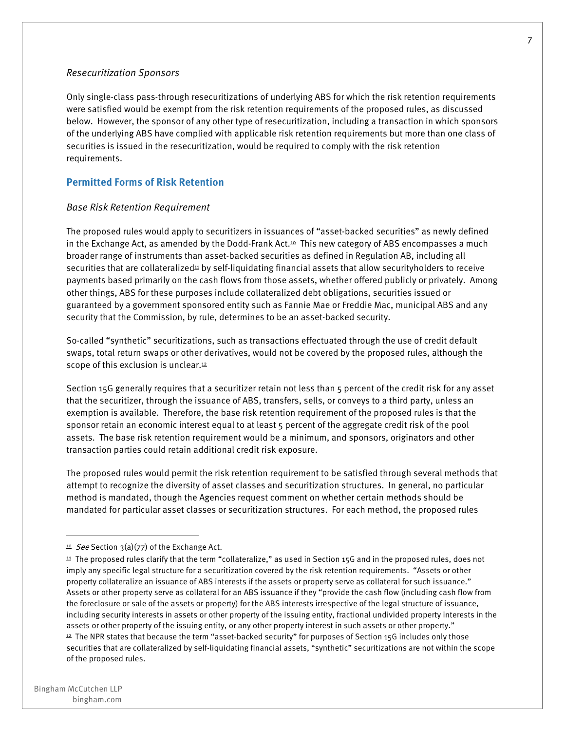#### *Resecuritization Sponsors*

Only single-class pass-through resecuritizations of underlying ABS for which the risk retention requirements were satisfied would be exempt from the risk retention requirements of the proposed rules, as discussed below. However, the sponsor of any other type of resecuritization, including a transaction in which sponsors of the underlying ABS have complied with applicable risk retention requirements but more than one class of securities is issued in the resecuritization, would be required to comply with the risk retention requirements.

#### **Permitted Forms of Risk Retention**

#### *Base Risk Retention Requirement*

The proposed rules would apply to securitizers in issuances of "asset-backed securities" as newly defined in the Exchange Act, as amended by the Dodd-Frank Act.<sup>10</sup> This new category of ABS encompasses a much broader range of instruments than asset-backed securities as defined in Regulation AB, including all securities that are collateralized<sup>11</sup> by self-liquidating financial assets that allow securityholders to receive payments based primarily on the cash flows from those assets, whether offered publicly or privately. Among other things, ABS for these purposes include collateralized debt obligations, securities issued or guaranteed by a government sponsored entity such as Fannie Mae or Freddie Mac, municipal ABS and any security that the Commission, by rule, determines to be an asset-backed security.

So-called "synthetic" securitizations, such as transactions effectuated through the use of credit default swaps, total return swaps or other derivatives, would not be covered by the proposed rules, although the scope of this exclusion is unclear. $12$ 

Section 15G generally requires that a securitizer retain not less than 5 percent of the credit risk for any asset that the securitizer, through the issuance of ABS, transfers, sells, or conveys to a third party, unless an exemption is available. Therefore, the base risk retention requirement of the proposed rules is that the sponsor retain an economic interest equal to at least 5 percent of the aggregate credit risk of the pool assets. The base risk retention requirement would be a minimum, and sponsors, originators and other transaction parties could retain additional credit risk exposure.

The proposed rules would permit the risk retention requirement to be satisfied through several methods that attempt to recognize the diversity of asset classes and securitization structures. In general, no particular method is mandated, though the Agencies request comment on whether certain methods should be mandated for particular asset classes or securitization structures. For each method, the proposed rules

<sup>&</sup>lt;sup>10</sup> See Section 3(a)(77) of the Exchange Act.

<sup>&</sup>lt;sup>11</sup> The proposed rules clarify that the term "collateralize," as used in Section 15G and in the proposed rules, does not imply any specific legal structure for a securitization covered by the risk retention requirements. "Assets or other property collateralize an issuance of ABS interests if the assets or property serve as collateral for such issuance." Assets or other property serve as collateral for an ABS issuance if they "provide the cash flow (including cash flow from the foreclosure or sale of the assets or property) for the ABS interests irrespective of the legal structure of issuance, including security interests in assets or other property of the issuing entity, fractional undivided property interests in the assets or other property of the issuing entity, or any other property interest in such assets or other property." <sup>12</sup> The NPR states that because the term "asset-backed security" for purposes of Section 15G includes only those securities that are collateralized by self-liquidating financial assets, "synthetic" securitizations are not within the scope of the proposed rules.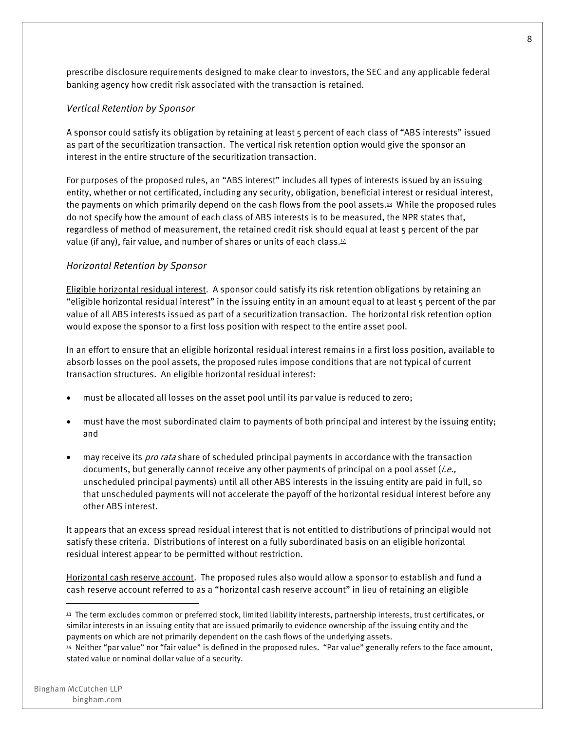prescribe disclosure requirements designed to make clear to investors, the SEC and any applicable federal banking agency how credit risk associated with the transaction is retained.

#### *Vertical Retention by Sponsor*

A sponsor could satisfy its obligation by retaining at least 5 percent of each class of "ABS interests" issued as part of the securitization transaction. The vertical risk retention option would give the sponsor an interest in the entire structure of the securitization transaction.

For purposes of the proposed rules, an "ABS interest" includes all types of interests issued by an issuing entity, whether or not certificated, including any security, obligation, beneficial interest or residual interest, the payments on which primarily depend on the cash flows from the pool assets.13 While the proposed rules do not specify how the amount of each class of ABS interests is to be measured, the NPR states that, regardless of method of measurement, the retained credit risk should equal at least 5 percent of the par value (if any), fair value, and number of shares or units of each class.14

#### *Horizontal Retention by Sponsor*

Eligible horizontal residual interest. A sponsor could satisfy its risk retention obligations by retaining an "eligible horizontal residual interest" in the issuing entity in an amount equal to at least 5 percent of the par value of all ABS interests issued as part of a securitization transaction. The horizontal risk retention option would expose the sponsor to a first loss position with respect to the entire asset pool.

In an effort to ensure that an eligible horizontal residual interest remains in a first loss position, available to absorb losses on the pool assets, the proposed rules impose conditions that are not typical of current transaction structures. An eligible horizontal residual interest:

- must be allocated all losses on the asset pool until its par value is reduced to zero;
- must have the most subordinated claim to payments of both principal and interest by the issuing entity; and
- may receive its *pro rata* share of scheduled principal payments in accordance with the transaction documents, but generally cannot receive any other payments of principal on a pool asset  $(i.e.,$ unscheduled principal payments) until all other ABS interests in the issuing entity are paid in full, so that unscheduled payments will not accelerate the payoff of the horizontal residual interest before any other ABS interest.

It appears that an excess spread residual interest that is not entitled to distributions of principal would not satisfy these criteria. Distributions of interest on a fully subordinated basis on an eligible horizontal residual interest appear to be permitted without restriction.

Horizontal cash reserve account. The proposed rules also would allow a sponsor to establish and fund a cash reserve account referred to as a "horizontal cash reserve account" in lieu of retaining an eligible

<sup>13</sup> The term excludes common or preferred stock, limited liability interests, partnership interests, trust certificates, or similar interests in an issuing entity that are issued primarily to evidence ownership of the issuing entity and the payments on which are not primarily dependent on the cash flows of the underlying assets.

<sup>14</sup> Neither "par value" nor "fair value" is defined in the proposed rules. "Par value" generally refers to the face amount, stated value or nominal dollar value of a security.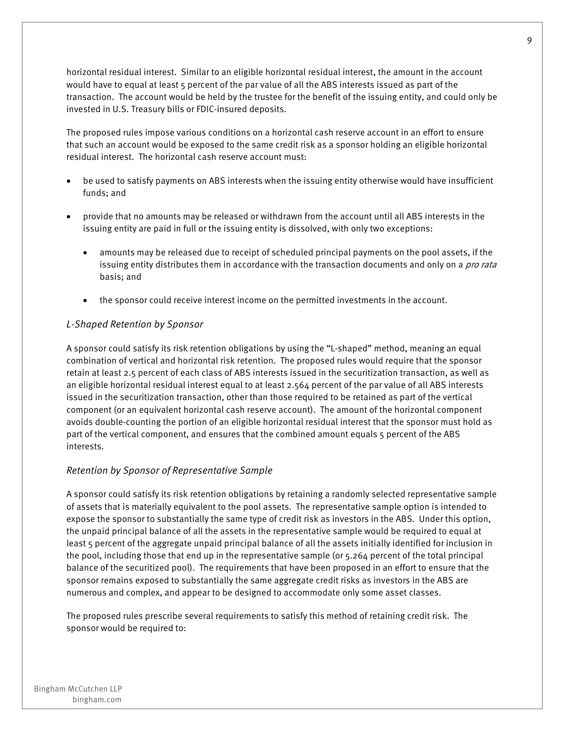horizontal residual interest. Similar to an eligible horizontal residual interest, the amount in the account would have to equal at least 5 percent of the par value of all the ABS interests issued as part of the transaction. The account would be held by the trustee for the benefit of the issuing entity, and could only be invested in U.S. Treasury bills or FDIC-insured deposits.

The proposed rules impose various conditions on a horizontal cash reserve account in an effort to ensure that such an account would be exposed to the same credit risk as a sponsor holding an eligible horizontal residual interest. The horizontal cash reserve account must:

- be used to satisfy payments on ABS interests when the issuing entity otherwise would have insufficient funds; and
- provide that no amounts may be released or withdrawn from the account until all ABS interests in the issuing entity are paid in full or the issuing entity is dissolved, with only two exceptions:
	- amounts may be released due to receipt of scheduled principal payments on the pool assets, if the issuing entity distributes them in accordance with the transaction documents and only on a *pro rata* basis; and
	- the sponsor could receive interest income on the permitted investments in the account.

#### *L-Shaped Retention by Sponsor*

A sponsor could satisfy its risk retention obligations by using the "L-shaped" method, meaning an equal combination of vertical and horizontal risk retention. The proposed rules would require that the sponsor retain at least 2.5 percent of each class of ABS interests issued in the securitization transaction, as well as an eligible horizontal residual interest equal to at least 2.564 percent of the par value of all ABS interests issued in the securitization transaction, other than those required to be retained as part of the vertical component (or an equivalent horizontal cash reserve account). The amount of the horizontal component avoids double-counting the portion of an eligible horizontal residual interest that the sponsor must hold as part of the vertical component, and ensures that the combined amount equals 5 percent of the ABS interests.

#### *Retention by Sponsor of Representative Sample*

A sponsor could satisfy its risk retention obligations by retaining a randomly selected representative sample of assets that is materially equivalent to the pool assets. The representative sample option is intended to expose the sponsor to substantially the same type of credit risk as investors in the ABS. Under this option, the unpaid principal balance of all the assets in the representative sample would be required to equal at least 5 percent of the aggregate unpaid principal balance of all the assets initially identified for inclusion in the pool, including those that end up in the representative sample (or 5.264 percent of the total principal balance of the securitized pool). The requirements that have been proposed in an effort to ensure that the sponsor remains exposed to substantially the same aggregate credit risks as investors in the ABS are numerous and complex, and appear to be designed to accommodate only some asset classes.

The proposed rules prescribe several requirements to satisfy this method of retaining credit risk. The sponsor would be required to: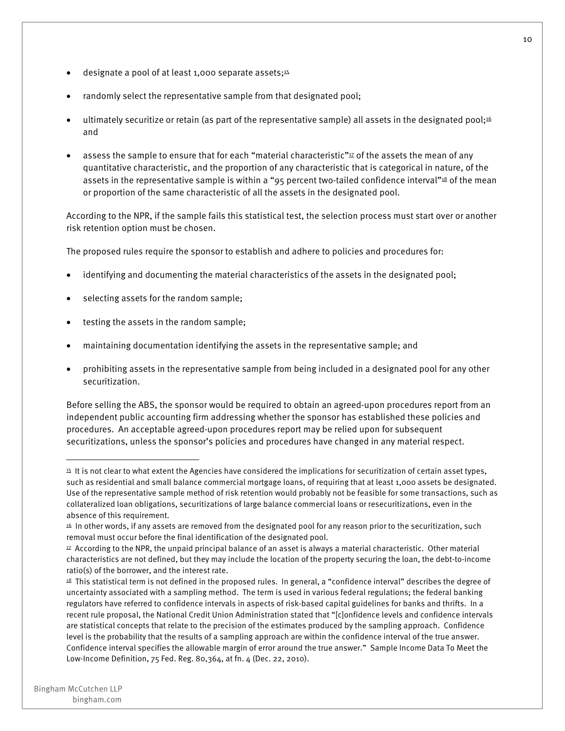- designate a pool of at least 1,000 separate assets; $45$
- randomly select the representative sample from that designated pool;
- ultimately securitize or retain (as part of the representative sample) all assets in the designated pool;<sup>16</sup> and
- assess the sample to ensure that for each "material characteristic" $\mu$  of the assets the mean of any quantitative characteristic, and the proportion of any characteristic that is categorical in nature, of the assets in the representative sample is within a "95 percent two-tailed confidence interval"<sup>18</sup> of the mean or proportion of the same characteristic of all the assets in the designated pool.

According to the NPR, if the sample fails this statistical test, the selection process must start over or another risk retention option must be chosen.

The proposed rules require the sponsor to establish and adhere to policies and procedures for:

- identifying and documenting the material characteristics of the assets in the designated pool;
- selecting assets for the random sample;
- testing the assets in the random sample;
- maintaining documentation identifying the assets in the representative sample; and
- prohibiting assets in the representative sample from being included in a designated pool for any other securitization.

Before selling the ABS, the sponsor would be required to obtain an agreed-upon procedures report from an independent public accounting firm addressing whether the sponsor has established these policies and procedures. An acceptable agreed-upon procedures report may be relied upon for subsequent securitizations, unless the sponsor's policies and procedures have changed in any material respect.

<sup>15</sup> It is not clear to what extent the Agencies have considered the implications for securitization of certain asset types, such as residential and small balance commercial mortgage loans, of requiring that at least 1,000 assets be designated. Use of the representative sample method of risk retention would probably not be feasible for some transactions, such as collateralized loan obligations, securitizations of large balance commercial loans or resecuritizations, even in the absence of this requirement.

 $16$  In other words, if any assets are removed from the designated pool for any reason prior to the securitization, such removal must occur before the final identification of the designated pool.

 $17$  According to the NPR, the unpaid principal balance of an asset is always a material characteristic. Other material characteristics are not defined, but they may include the location of the property securing the loan, the debt-to-income ratio(s) of the borrower, and the interest rate.

<sup>18</sup> This statistical term is not defined in the proposed rules. In general, a "confidence interval" describes the degree of uncertainty associated with a sampling method. The term is used in various federal regulations; the federal banking regulators have referred to confidence intervals in aspects of risk-based capital guidelines for banks and thrifts. In a recent rule proposal, the National Credit Union Administration stated that "[c]onfidence levels and confidence intervals are statistical concepts that relate to the precision of the estimates produced by the sampling approach. Confidence level is the probability that the results of a sampling approach are within the confidence interval of the true answer. Confidence interval specifies the allowable margin of error around the true answer." Sample Income Data To Meet the Low-Income Definition, 75 Fed. Reg. 80,364, at fn. 4 (Dec. 22, 2010).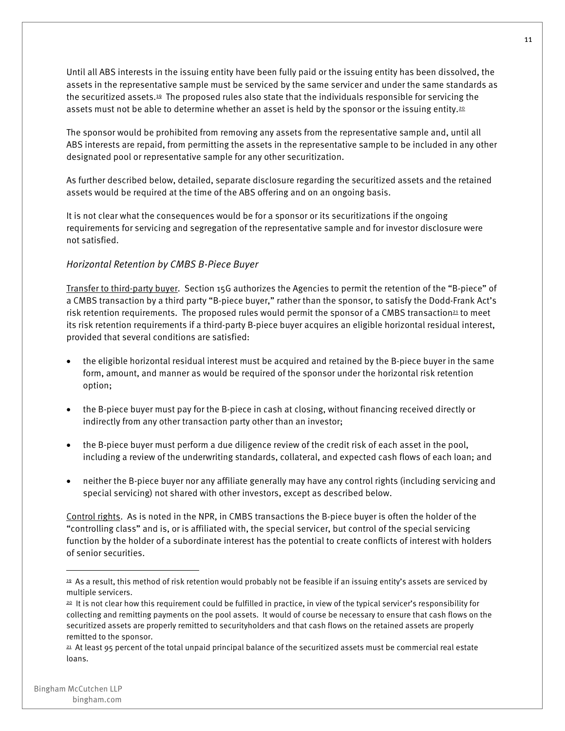Until all ABS interests in the issuing entity have been fully paid or the issuing entity has been dissolved, the assets in the representative sample must be serviced by the same servicer and under the same standards as the securitized assets.19 The proposed rules also state that the individuals responsible for servicing the assets must not be able to determine whether an asset is held by the sponsor or the issuing entity.<sup>20</sup>

The sponsor would be prohibited from removing any assets from the representative sample and, until all ABS interests are repaid, from permitting the assets in the representative sample to be included in any other designated pool or representative sample for any other securitization.

As further described below, detailed, separate disclosure regarding the securitized assets and the retained assets would be required at the time of the ABS offering and on an ongoing basis.

It is not clear what the consequences would be for a sponsor or its securitizations if the ongoing requirements for servicing and segregation of the representative sample and for investor disclosure were not satisfied.

#### *Horizontal Retention by CMBS B-Piece Buyer*

Transfer to third-party buyer. Section 15G authorizes the Agencies to permit the retention of the "B-piece" of a CMBS transaction by a third party "B-piece buyer," rather than the sponsor, to satisfy the Dodd-Frank Act's risk retention requirements. The proposed rules would permit the sponsor of a CMBS transaction<sup>21</sup> to meet its risk retention requirements if a third-party B-piece buyer acquires an eligible horizontal residual interest, provided that several conditions are satisfied:

- the eligible horizontal residual interest must be acquired and retained by the B-piece buyer in the same form, amount, and manner as would be required of the sponsor under the horizontal risk retention option;
- the B-piece buyer must pay for the B-piece in cash at closing, without financing received directly or indirectly from any other transaction party other than an investor;
- the B-piece buyer must perform a due diligence review of the credit risk of each asset in the pool, including a review of the underwriting standards, collateral, and expected cash flows of each loan; and
- neither the B-piece buyer nor any affiliate generally may have any control rights (including servicing and special servicing) not shared with other investors, except as described below.

Control rights. As is noted in the NPR, in CMBS transactions the B-piece buyer is often the holder of the "controlling class" and is, or is affiliated with, the special servicer, but control of the special servicing function by the holder of a subordinate interest has the potential to create conflicts of interest with holders of senior securities.

<sup>19</sup> As a result, this method of risk retention would probably not be feasible if an issuing entity's assets are serviced by multiple servicers.

<sup>&</sup>lt;sup>20</sup> It is not clear how this requirement could be fulfilled in practice, in view of the typical servicer's responsibility for collecting and remitting payments on the pool assets. It would of course be necessary to ensure that cash flows on the securitized assets are properly remitted to securityholders and that cash flows on the retained assets are properly remitted to the sponsor.

<sup>21</sup> At least 95 percent of the total unpaid principal balance of the securitized assets must be commercial real estate loans.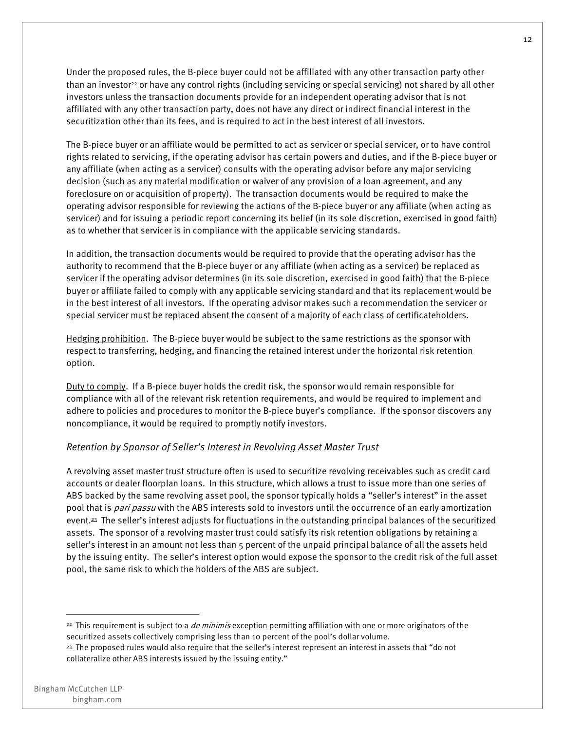Under the proposed rules, the B-piece buyer could not be affiliated with any other transaction party other than an investor<sup>22</sup> or have any control rights (including servicing or special servicing) not shared by all other investors unless the transaction documents provide for an independent operating advisor that is not affiliated with any other transaction party, does not have any direct or indirect financial interest in the securitization other than its fees, and is required to act in the best interest of all investors.

The B-piece buyer or an affiliate would be permitted to act as servicer or special servicer, or to have control rights related to servicing, if the operating advisor has certain powers and duties, and if the B-piece buyer or any affiliate (when acting as a servicer) consults with the operating advisor before any major servicing decision (such as any material modification or waiver of any provision of a loan agreement, and any foreclosure on or acquisition of property). The transaction documents would be required to make the operating advisor responsible for reviewing the actions of the B-piece buyer or any affiliate (when acting as servicer) and for issuing a periodic report concerning its belief (in its sole discretion, exercised in good faith) as to whether that servicer is in compliance with the applicable servicing standards.

In addition, the transaction documents would be required to provide that the operating advisor has the authority to recommend that the B-piece buyer or any affiliate (when acting as a servicer) be replaced as servicer if the operating advisor determines (in its sole discretion, exercised in good faith) that the B-piece buyer or affiliate failed to comply with any applicable servicing standard and that its replacement would be in the best interest of all investors. If the operating advisor makes such a recommendation the servicer or special servicer must be replaced absent the consent of a majority of each class of certificateholders.

Hedging prohibition. The B-piece buyer would be subject to the same restrictions as the sponsor with respect to transferring, hedging, and financing the retained interest under the horizontal risk retention option.

Duty to comply. If a B-piece buyer holds the credit risk, the sponsor would remain responsible for compliance with all of the relevant risk retention requirements, and would be required to implement and adhere to policies and procedures to monitor the B-piece buyer's compliance. If the sponsor discovers any noncompliance, it would be required to promptly notify investors.

#### *Retention by Sponsor of Seller's Interest in Revolving Asset Master Trust*

A revolving asset master trust structure often is used to securitize revolving receivables such as credit card accounts or dealer floorplan loans. In this structure, which allows a trust to issue more than one series of ABS backed by the same revolving asset pool, the sponsor typically holds a "seller's interest" in the asset pool that is *pari passu* with the ABS interests sold to investors until the occurrence of an early amortization event.23 The seller's interest adjusts for fluctuations in the outstanding principal balances of the securitized assets. The sponsor of a revolving master trust could satisfy its risk retention obligations by retaining a seller's interest in an amount not less than 5 percent of the unpaid principal balance of all the assets held by the issuing entity. The seller's interest option would expose the sponsor to the credit risk of the full asset pool, the same risk to which the holders of the ABS are subject.

 $22$  This requirement is subject to a *de minimis* exception permitting affiliation with one or more originators of the securitized assets collectively comprising less than 10 percent of the pool's dollar volume.

<sup>23</sup> The proposed rules would also require that the seller's interest represent an interest in assets that "do not collateralize other ABS interests issued by the issuing entity."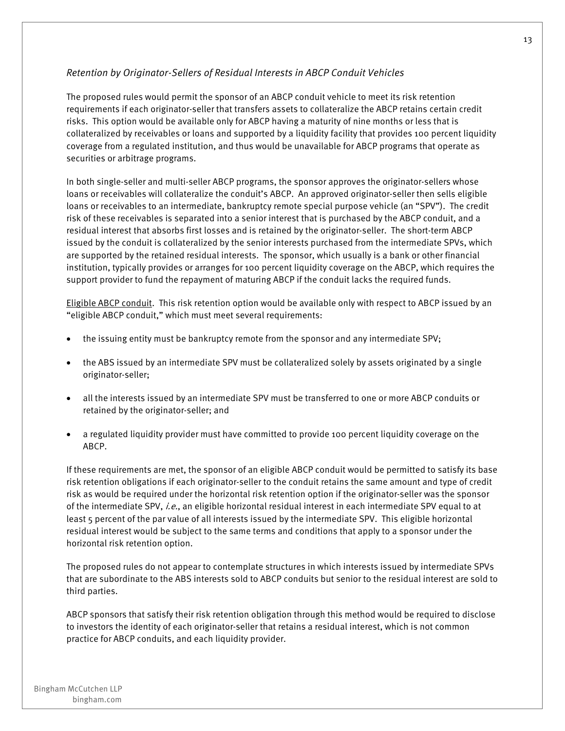#### *Retention by Originator-Sellers of Residual Interests in ABCP Conduit Vehicles*

The proposed rules would permit the sponsor of an ABCP conduit vehicle to meet its risk retention requirements if each originator-seller that transfers assets to collateralize the ABCP retains certain credit risks. This option would be available only for ABCP having a maturity of nine months or less that is collateralized by receivables or loans and supported by a liquidity facility that provides 100 percent liquidity coverage from a regulated institution, and thus would be unavailable for ABCP programs that operate as securities or arbitrage programs.

In both single-seller and multi-seller ABCP programs, the sponsor approves the originator-sellers whose loans or receivables will collateralize the conduit's ABCP. An approved originator-seller then sells eligible loans or receivables to an intermediate, bankruptcy remote special purpose vehicle (an "SPV"). The credit risk of these receivables is separated into a senior interest that is purchased by the ABCP conduit, and a residual interest that absorbs first losses and is retained by the originator-seller. The short-term ABCP issued by the conduit is collateralized by the senior interests purchased from the intermediate SPVs, which are supported by the retained residual interests. The sponsor, which usually is a bank or other financial institution, typically provides or arranges for 100 percent liquidity coverage on the ABCP, which requires the support provider to fund the repayment of maturing ABCP if the conduit lacks the required funds.

Eligible ABCP conduit. This risk retention option would be available only with respect to ABCP issued by an "eligible ABCP conduit," which must meet several requirements:

- the issuing entity must be bankruptcy remote from the sponsor and any intermediate SPV;
- the ABS issued by an intermediate SPV must be collateralized solely by assets originated by a single originator-seller;
- all the interests issued by an intermediate SPV must be transferred to one or more ABCP conduits or retained by the originator-seller; and
- a regulated liquidity provider must have committed to provide 100 percent liquidity coverage on the ABCP.

If these requirements are met, the sponsor of an eligible ABCP conduit would be permitted to satisfy its base risk retention obligations if each originator-seller to the conduit retains the same amount and type of credit risk as would be required under the horizontal risk retention option if the originator-seller was the sponsor of the intermediate SPV, i.e., an eligible horizontal residual interest in each intermediate SPV equal to at least 5 percent of the par value of all interests issued by the intermediate SPV. This eligible horizontal residual interest would be subject to the same terms and conditions that apply to a sponsor under the horizontal risk retention option.

The proposed rules do not appear to contemplate structures in which interests issued by intermediate SPVs that are subordinate to the ABS interests sold to ABCP conduits but senior to the residual interest are sold to third parties.

ABCP sponsors that satisfy their risk retention obligation through this method would be required to disclose to investors the identity of each originator-seller that retains a residual interest, which is not common practice for ABCP conduits, and each liquidity provider.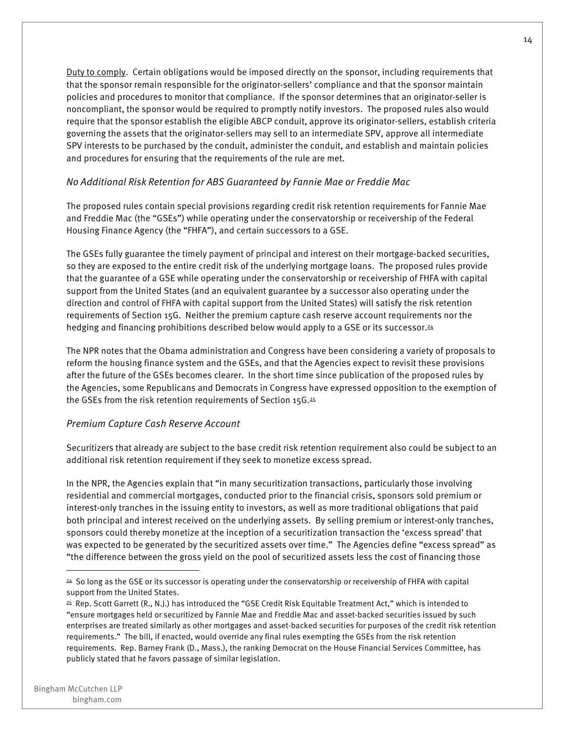Duty to comply. Certain obligations would be imposed directly on the sponsor, including requirements that that the sponsor remain responsible for the originator-sellers' compliance and that the sponsor maintain policies and procedures to monitor that compliance. If the sponsor determines that an originator-seller is noncompliant, the sponsor would be required to promptly notify investors. The proposed rules also would require that the sponsor establish the eligible ABCP conduit, approve its originator-sellers, establish criteria governing the assets that the originator-sellers may sell to an intermediate SPV, approve all intermediate SPV interests to be purchased by the conduit, administer the conduit, and establish and maintain policies and procedures for ensuring that the requirements of the rule are met.

#### *No Additional Risk Retention for ABS Guaranteed by Fannie Mae or Freddie Mac*

The proposed rules contain special provisions regarding credit risk retention requirements for Fannie Mae and Freddie Mac (the "GSEs") while operating under the conservatorship or receivership of the Federal Housing Finance Agency (the "FHFA"), and certain successors to a GSE.

The GSEs fully guarantee the timely payment of principal and interest on their mortgage-backed securities, so they are exposed to the entire credit risk of the underlying mortgage loans. The proposed rules provide that the guarantee of a GSE while operating under the conservatorship or receivership of FHFA with capital support from the United States (and an equivalent guarantee by a successor also operating under the direction and control of FHFA with capital support from the United States) will satisfy the risk retention requirements of Section 15G. Neither the premium capture cash reserve account requirements nor the hedging and financing prohibitions described below would apply to a GSE or its successor.<sup>24</sup>

The NPR notes that the Obama administration and Congress have been considering a variety of proposals to reform the housing finance system and the GSEs, and that the Agencies expect to revisit these provisions after the future of the GSEs becomes clearer. In the short time since publication of the proposed rules by the Agencies, some Republicans and Democrats in Congress have expressed opposition to the exemption of the GSEs from the risk retention requirements of Section 15G.25

#### *Premium Capture Cash Reserve Account*

Securitizers that already are subject to the base credit risk retention requirement also could be subject to an additional risk retention requirement if they seek to monetize excess spread.

In the NPR, the Agencies explain that "in many securitization transactions, particularly those involving residential and commercial mortgages, conducted prior to the financial crisis, sponsors sold premium or interest-only tranches in the issuing entity to investors, as well as more traditional obligations that paid both principal and interest received on the underlying assets. By selling premium or interest-only tranches, sponsors could thereby monetize at the inception of a securitization transaction the 'excess spread' that was expected to be generated by the securitized assets over time." The Agencies define "excess spread" as "the difference between the gross yield on the pool of securitized assets less the cost of financing those

<sup>24</sup> So long as the GSE or its successor is operating under the conservatorship or receivership of FHFA with capital support from the United States.

<sup>25</sup> Rep. Scott Garrett (R., N.J.) has introduced the "GSE Credit Risk Equitable Treatment Act," which is intended to "ensure mortgages held or securitized by Fannie Mae and Freddie Mac and asset-backed securities issued by such enterprises are treated similarly as other mortgages and asset-backed securities for purposes of the credit risk retention requirements." The bill, if enacted, would override any final rules exempting the GSEs from the risk retention requirements. Rep. Barney Frank (D., Mass.), the ranking Democrat on the House Financial Services Committee, has publicly stated that he favors passage of similar legislation.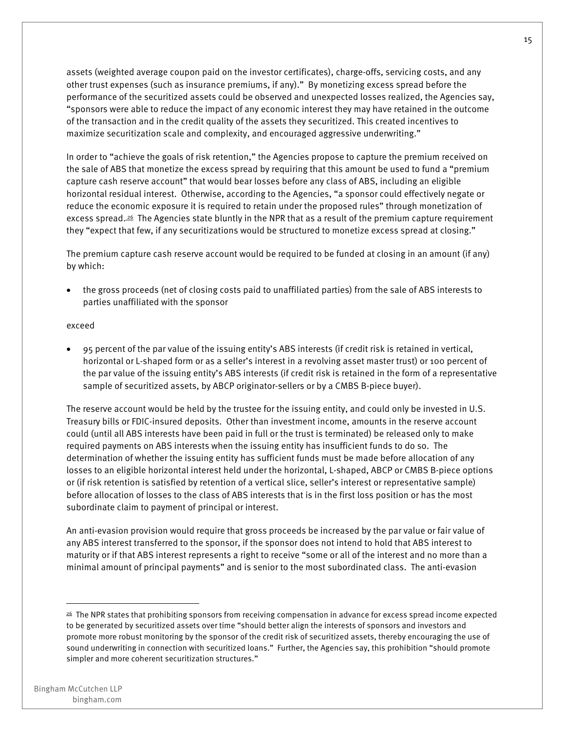assets (weighted average coupon paid on the investor certificates), charge-offs, servicing costs, and any other trust expenses (such as insurance premiums, if any)." By monetizing excess spread before the performance of the securitized assets could be observed and unexpected losses realized, the Agencies say, "sponsors were able to reduce the impact of any economic interest they may have retained in the outcome of the transaction and in the credit quality of the assets they securitized. This created incentives to maximize securitization scale and complexity, and encouraged aggressive underwriting."

In order to "achieve the goals of risk retention," the Agencies propose to capture the premium received on the sale of ABS that monetize the excess spread by requiring that this amount be used to fund a "premium capture cash reserve account" that would bear losses before any class of ABS, including an eligible horizontal residual interest. Otherwise, according to the Agencies, "a sponsor could effectively negate or reduce the economic exposure it is required to retain under the proposed rules" through monetization of excess spread.<sup>26</sup> The Agencies state bluntly in the NPR that as a result of the premium capture requirement they "expect that few, if any securitizations would be structured to monetize excess spread at closing."

The premium capture cash reserve account would be required to be funded at closing in an amount (if any) by which:

• the gross proceeds (net of closing costs paid to unaffiliated parties) from the sale of ABS interests to parties unaffiliated with the sponsor

#### exceed

• 95 percent of the par value of the issuing entity's ABS interests (if credit risk is retained in vertical, horizontal or L-shaped form or as a seller's interest in a revolving asset master trust) or 100 percent of the par value of the issuing entity's ABS interests (if credit risk is retained in the form of a representative sample of securitized assets, by ABCP originator-sellers or by a CMBS B-piece buyer).

The reserve account would be held by the trustee for the issuing entity, and could only be invested in U.S. Treasury bills or FDIC-insured deposits. Other than investment income, amounts in the reserve account could (until all ABS interests have been paid in full or the trust is terminated) be released only to make required payments on ABS interests when the issuing entity has insufficient funds to do so. The determination of whether the issuing entity has sufficient funds must be made before allocation of any losses to an eligible horizontal interest held under the horizontal, L-shaped, ABCP or CMBS B-piece options or (if risk retention is satisfied by retention of a vertical slice, seller's interest or representative sample) before allocation of losses to the class of ABS interests that is in the first loss position or has the most subordinate claim to payment of principal or interest.

An anti-evasion provision would require that gross proceeds be increased by the par value or fair value of any ABS interest transferred to the sponsor, if the sponsor does not intend to hold that ABS interest to maturity or if that ABS interest represents a right to receive "some or all of the interest and no more than a minimal amount of principal payments" and is senior to the most subordinated class. The anti-evasion

<sup>26</sup> The NPR states that prohibiting sponsors from receiving compensation in advance for excess spread income expected to be generated by securitized assets over time "should better align the interests of sponsors and investors and promote more robust monitoring by the sponsor of the credit risk of securitized assets, thereby encouraging the use of sound underwriting in connection with securitized loans." Further, the Agencies say, this prohibition "should promote simpler and more coherent securitization structures."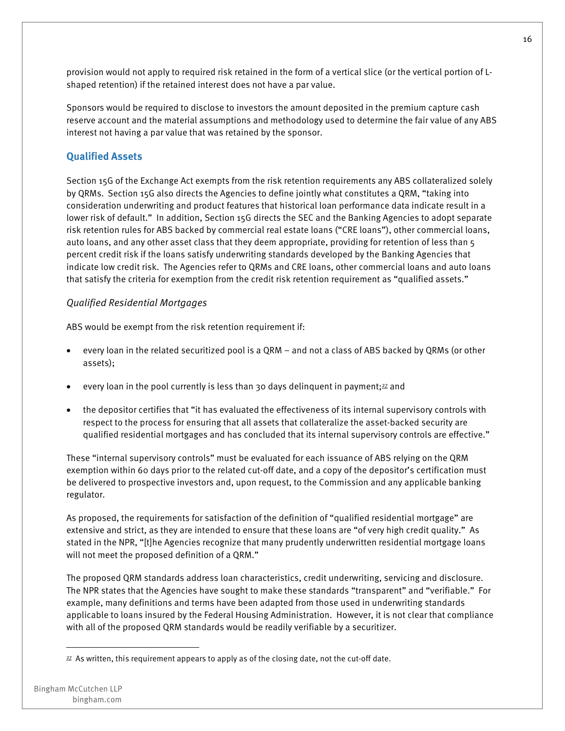provision would not apply to required risk retained in the form of a vertical slice (or the vertical portion of Lshaped retention) if the retained interest does not have a par value.

Sponsors would be required to disclose to investors the amount deposited in the premium capture cash reserve account and the material assumptions and methodology used to determine the fair value of any ABS interest not having a par value that was retained by the sponsor.

#### **Qualified Assets**

Section 15G of the Exchange Act exempts from the risk retention requirements any ABS collateralized solely by QRMs. Section 15G also directs the Agencies to define jointly what constitutes a QRM, "taking into consideration underwriting and product features that historical loan performance data indicate result in a lower risk of default." In addition, Section 15G directs the SEC and the Banking Agencies to adopt separate risk retention rules for ABS backed by commercial real estate loans ("CRE loans"), other commercial loans, auto loans, and any other asset class that they deem appropriate, providing for retention of less than 5 percent credit risk if the loans satisfy underwriting standards developed by the Banking Agencies that indicate low credit risk. The Agencies refer to QRMs and CRE loans, other commercial loans and auto loans that satisfy the criteria for exemption from the credit risk retention requirement as "qualified assets."

#### *Qualified Residential Mortgages*

ABS would be exempt from the risk retention requirement if:

- every loan in the related securitized pool is a QRM and not a class of ABS backed by QRMs (or other assets);
- every loan in the pool currently is less than 30 days delinguent in payment; $27$  and
- the depositor certifies that "it has evaluated the effectiveness of its internal supervisory controls with respect to the process for ensuring that all assets that collateralize the asset-backed security are qualified residential mortgages and has concluded that its internal supervisory controls are effective."

These "internal supervisory controls" must be evaluated for each issuance of ABS relying on the QRM exemption within 60 days prior to the related cut-off date, and a copy of the depositor's certification must be delivered to prospective investors and, upon request, to the Commission and any applicable banking regulator.

As proposed, the requirements for satisfaction of the definition of "qualified residential mortgage" are extensive and strict, as they are intended to ensure that these loans are "of very high credit quality." As stated in the NPR, "[t]he Agencies recognize that many prudently underwritten residential mortgage loans will not meet the proposed definition of a QRM."

The proposed QRM standards address loan characteristics, credit underwriting, servicing and disclosure. The NPR states that the Agencies have sought to make these standards "transparent" and "verifiable." For example, many definitions and terms have been adapted from those used in underwriting standards applicable to loans insured by the Federal Housing Administration. However, it is not clear that compliance with all of the proposed QRM standards would be readily verifiable by a securitizer.

<sup>27</sup> As written, this requirement appears to apply as of the closing date, not the cut-off date.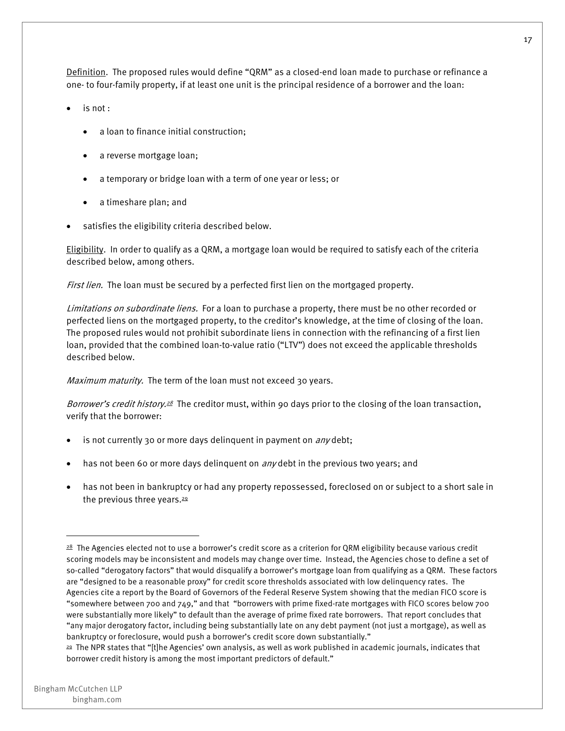Definition. The proposed rules would define "QRM" as a closed-end loan made to purchase or refinance a one- to four-family property, if at least one unit is the principal residence of a borrower and the loan:

- is not :
	- a loan to finance initial construction;
	- a reverse mortgage loan;
	- a temporary or bridge loan with a term of one year or less; or
	- a timeshare plan; and
- satisfies the eligibility criteria described below.

Eligibility. In order to qualify as a QRM, a mortgage loan would be required to satisfy each of the criteria described below, among others.

First lien. The loan must be secured by a perfected first lien on the mortgaged property.

Limitations on subordinate liens. For a loan to purchase a property, there must be no other recorded or perfected liens on the mortgaged property, to the creditor's knowledge, at the time of closing of the loan. The proposed rules would not prohibit subordinate liens in connection with the refinancing of a first lien loan, provided that the combined loan-to-value ratio ("LTV") does not exceed the applicable thresholds described below.

Maximum maturity. The term of the loan must not exceed 30 years.

Borrower's credit history.<sup>28</sup> The creditor must, within 90 days prior to the closing of the loan transaction, verify that the borrower:

- is not currently 30 or more days delinquent in payment on *any* debt;
- has not been 60 or more days delinquent on  $\frac{any}{db}$  debt in the previous two years; and
- has not been in bankruptcy or had any property repossessed, foreclosed on or subject to a short sale in the previous three years. $29$

<sup>28</sup> The Agencies elected not to use a borrower's credit score as a criterion for QRM eligibility because various credit scoring models may be inconsistent and models may change over time. Instead, the Agencies chose to define a set of so-called "derogatory factors" that would disqualify a borrower's mortgage loan from qualifying as a QRM. These factors are "designed to be a reasonable proxy" for credit score thresholds associated with low delinquency rates. The Agencies cite a report by the Board of Governors of the Federal Reserve System showing that the median FICO score is "somewhere between 700 and 749," and that "borrowers with prime fixed-rate mortgages with FICO scores below 700 were substantially more likely" to default than the average of prime fixed rate borrowers. That report concludes that "any major derogatory factor, including being substantially late on any debt payment (not just a mortgage), as well as bankruptcy or foreclosure, would push a borrower's credit score down substantially."

<sup>29</sup> The NPR states that "[t]he Agencies' own analysis, as well as work published in academic journals, indicates that borrower credit history is among the most important predictors of default."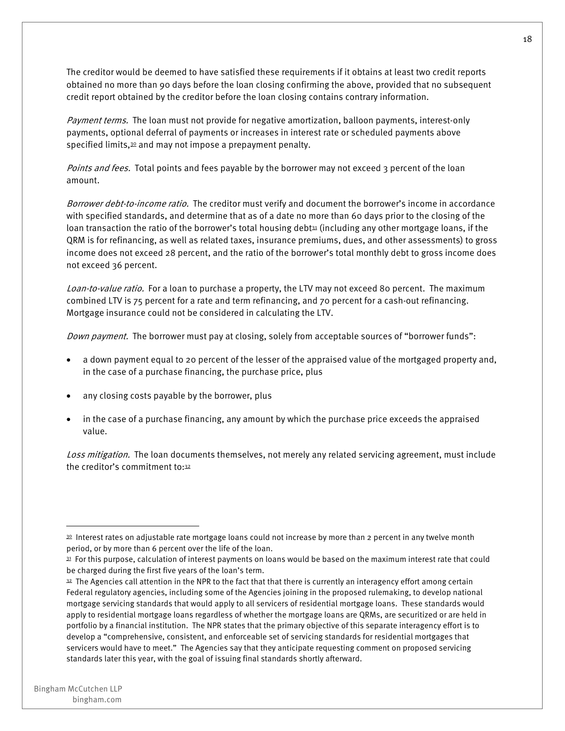The creditor would be deemed to have satisfied these requirements if it obtains at least two credit reports obtained no more than 90 days before the loan closing confirming the above, provided that no subsequent credit report obtained by the creditor before the loan closing contains contrary information.

Payment terms. The loan must not provide for negative amortization, balloon payments, interest-only payments, optional deferral of payments or increases in interest rate or scheduled payments above specified limits,<sup>30</sup> and may not impose a prepayment penalty.

Points and fees. Total points and fees payable by the borrower may not exceed 3 percent of the loan amount.

Borrower debt-to-income ratio. The creditor must verify and document the borrower's income in accordance with specified standards, and determine that as of a date no more than 60 days prior to the closing of the loan transaction the ratio of the borrower's total housing debt<sup>31</sup> (including any other mortgage loans, if the QRM is for refinancing, as well as related taxes, insurance premiums, dues, and other assessments) to gross income does not exceed 28 percent, and the ratio of the borrower's total monthly debt to gross income does not exceed 36 percent.

Loan-to-value ratio. For a loan to purchase a property, the LTV may not exceed 80 percent. The maximum combined LTV is 75 percent for a rate and term refinancing, and 70 percent for a cash-out refinancing. Mortgage insurance could not be considered in calculating the LTV.

Down payment. The borrower must pay at closing, solely from acceptable sources of "borrower funds":

- a down payment equal to 20 percent of the lesser of the appraised value of the mortgaged property and, in the case of a purchase financing, the purchase price, plus
- any closing costs payable by the borrower, plus
- in the case of a purchase financing, any amount by which the purchase price exceeds the appraised value.

Loss mitigation. The loan documents themselves, not merely any related servicing agreement, must include the creditor's commitment to:32

<sup>30</sup> Interest rates on adjustable rate mortgage loans could not increase by more than 2 percent in any twelve month period, or by more than 6 percent over the life of the loan.

<sup>31</sup> For this purpose, calculation of interest payments on loans would be based on the maximum interest rate that could be charged during the first five years of the loan's term.

<sup>32</sup> The Agencies call attention in the NPR to the fact that that there is currently an interagency effort among certain Federal regulatory agencies, including some of the Agencies joining in the proposed rulemaking, to develop national mortgage servicing standards that would apply to all servicers of residential mortgage loans. These standards would apply to residential mortgage loans regardless of whether the mortgage loans are QRMs, are securitized or are held in portfolio by a financial institution. The NPR states that the primary objective of this separate interagency effort is to develop a "comprehensive, consistent, and enforceable set of servicing standards for residential mortgages that servicers would have to meet." The Agencies say that they anticipate requesting comment on proposed servicing standards later this year, with the goal of issuing final standards shortly afterward.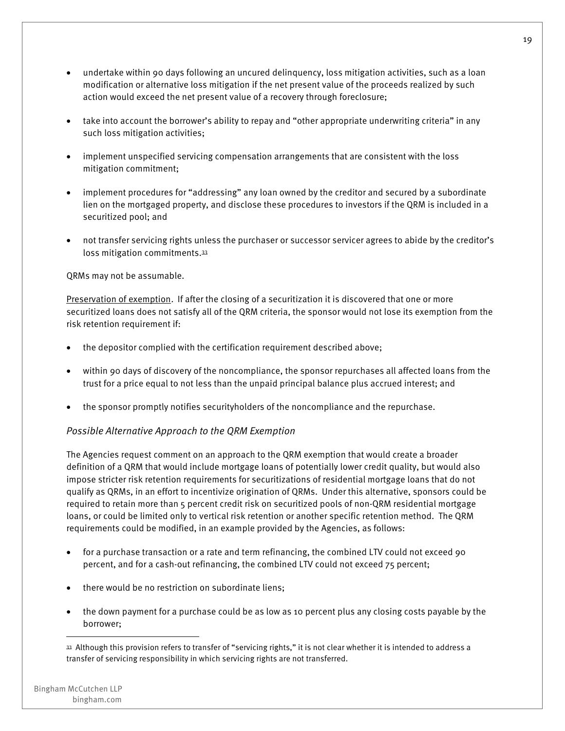- undertake within 90 days following an uncured delinquency, loss mitigation activities, such as a loan modification or alternative loss mitigation if the net present value of the proceeds realized by such action would exceed the net present value of a recovery through foreclosure;
- take into account the borrower's ability to repay and "other appropriate underwriting criteria" in any such loss mitigation activities;
- implement unspecified servicing compensation arrangements that are consistent with the loss mitigation commitment;
- implement procedures for "addressing" any loan owned by the creditor and secured by a subordinate lien on the mortgaged property, and disclose these procedures to investors if the QRM is included in a securitized pool; and
- not transfer servicing rights unless the purchaser or successor servicer agrees to abide by the creditor's loss mitigation commitments.33

QRMs may not be assumable.

Preservation of exemption. If after the closing of a securitization it is discovered that one or more securitized loans does not satisfy all of the QRM criteria, the sponsor would not lose its exemption from the risk retention requirement if:

- the depositor complied with the certification requirement described above;
- within 90 days of discovery of the noncompliance, the sponsor repurchases all affected loans from the trust for a price equal to not less than the unpaid principal balance plus accrued interest; and
- the sponsor promptly notifies securityholders of the noncompliance and the repurchase.

#### *Possible Alternative Approach to the QRM Exemption*

The Agencies request comment on an approach to the QRM exemption that would create a broader definition of a QRM that would include mortgage loans of potentially lower credit quality, but would also impose stricter risk retention requirements for securitizations of residential mortgage loans that do not qualify as QRMs, in an effort to incentivize origination of QRMs. Under this alternative, sponsors could be required to retain more than 5 percent credit risk on securitized pools of non-QRM residential mortgage loans, or could be limited only to vertical risk retention or another specific retention method. The QRM requirements could be modified, in an example provided by the Agencies, as follows:

- for a purchase transaction or a rate and term refinancing, the combined LTV could not exceed 90 percent, and for a cash-out refinancing, the combined LTV could not exceed 75 percent;
- there would be no restriction on subordinate liens;
- the down payment for a purchase could be as low as 10 percent plus any closing costs payable by the borrower;

<sup>33</sup> Although this provision refers to transfer of "servicing rights," it is not clear whether it is intended to address a transfer of servicing responsibility in which servicing rights are not transferred.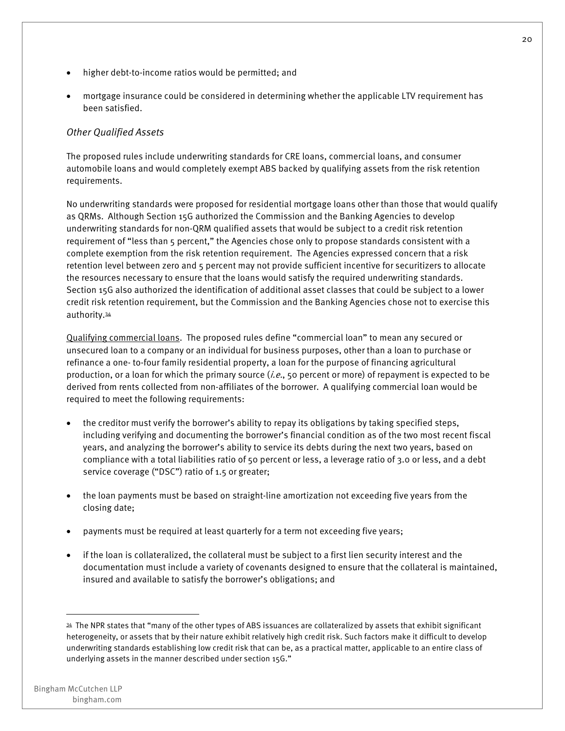- higher debt-to-income ratios would be permitted; and
- mortgage insurance could be considered in determining whether the applicable LTV requirement has been satisfied.

#### *Other Qualified Assets*

The proposed rules include underwriting standards for CRE loans, commercial loans, and consumer automobile loans and would completely exempt ABS backed by qualifying assets from the risk retention requirements.

No underwriting standards were proposed for residential mortgage loans other than those that would qualify as QRMs. Although Section 15G authorized the Commission and the Banking Agencies to develop underwriting standards for non-QRM qualified assets that would be subject to a credit risk retention requirement of "less than 5 percent," the Agencies chose only to propose standards consistent with a complete exemption from the risk retention requirement. The Agencies expressed concern that a risk retention level between zero and 5 percent may not provide sufficient incentive for securitizers to allocate the resources necessary to ensure that the loans would satisfy the required underwriting standards. Section 15G also authorized the identification of additional asset classes that could be subject to a lower credit risk retention requirement, but the Commission and the Banking Agencies chose not to exercise this authority.34

Qualifying commercial loans. The proposed rules define "commercial loan" to mean any secured or unsecured loan to a company or an individual for business purposes, other than a loan to purchase or refinance a one- to-four family residential property, a loan for the purpose of financing agricultural production, or a loan for which the primary source ( $i.e.,$  50 percent or more) of repayment is expected to be derived from rents collected from non-affiliates of the borrower. A qualifying commercial loan would be required to meet the following requirements:

- the creditor must verify the borrower's ability to repay its obligations by taking specified steps, including verifying and documenting the borrower's financial condition as of the two most recent fiscal years, and analyzing the borrower's ability to service its debts during the next two years, based on compliance with a total liabilities ratio of 50 percent or less, a leverage ratio of 3.0 or less, and a debt service coverage ("DSC") ratio of 1.5 or greater;
- the loan payments must be based on straight-line amortization not exceeding five years from the closing date;
- payments must be required at least quarterly for a term not exceeding five years;
- if the loan is collateralized, the collateral must be subject to a first lien security interest and the documentation must include a variety of covenants designed to ensure that the collateral is maintained, insured and available to satisfy the borrower's obligations; and

<sup>34</sup> The NPR states that "many of the other types of ABS issuances are collateralized by assets that exhibit significant heterogeneity, or assets that by their nature exhibit relatively high credit risk. Such factors make it difficult to develop underwriting standards establishing low credit risk that can be, as a practical matter, applicable to an entire class of underlying assets in the manner described under section 15G."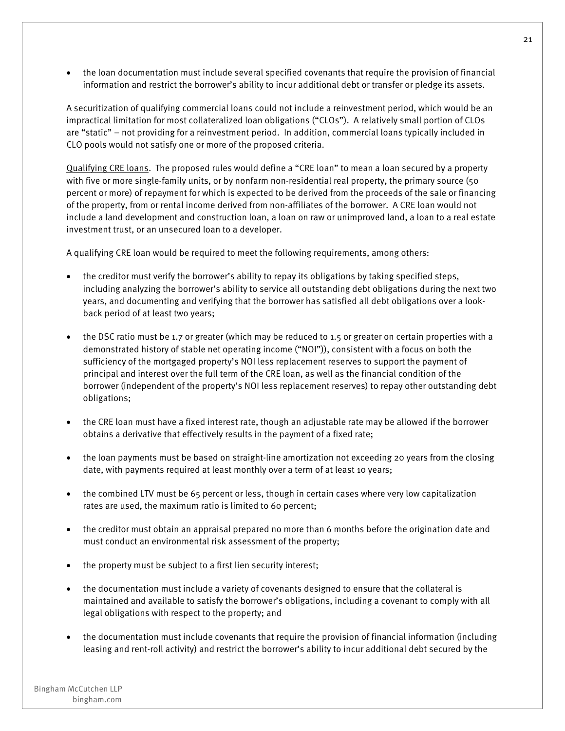• the loan documentation must include several specified covenants that require the provision of financial information and restrict the borrower's ability to incur additional debt or transfer or pledge its assets.

A securitization of qualifying commercial loans could not include a reinvestment period, which would be an impractical limitation for most collateralized loan obligations ("CLOs"). A relatively small portion of CLOs are "static" – not providing for a reinvestment period. In addition, commercial loans typically included in CLO pools would not satisfy one or more of the proposed criteria.

Qualifying CRE loans. The proposed rules would define a "CRE loan" to mean a loan secured by a property with five or more single-family units, or by nonfarm non-residential real property, the primary source (50 percent or more) of repayment for which is expected to be derived from the proceeds of the sale or financing of the property, from or rental income derived from non-affiliates of the borrower. A CRE loan would not include a land development and construction loan, a loan on raw or unimproved land, a loan to a real estate investment trust, or an unsecured loan to a developer.

A qualifying CRE loan would be required to meet the following requirements, among others:

- the creditor must verify the borrower's ability to repay its obligations by taking specified steps, including analyzing the borrower's ability to service all outstanding debt obligations during the next two years, and documenting and verifying that the borrower has satisfied all debt obligations over a lookback period of at least two years;
- the DSC ratio must be 1.7 or greater (which may be reduced to 1.5 or greater on certain properties with a demonstrated history of stable net operating income ("NOI")), consistent with a focus on both the sufficiency of the mortgaged property's NOI less replacement reserves to support the payment of principal and interest over the full term of the CRE loan, as well as the financial condition of the borrower (independent of the property's NOI less replacement reserves) to repay other outstanding debt obligations;
- the CRE loan must have a fixed interest rate, though an adjustable rate may be allowed if the borrower obtains a derivative that effectively results in the payment of a fixed rate;
- the loan payments must be based on straight-line amortization not exceeding 20 years from the closing date, with payments required at least monthly over a term of at least 10 years;
- the combined LTV must be 65 percent or less, though in certain cases where very low capitalization rates are used, the maximum ratio is limited to 60 percent;
- the creditor must obtain an appraisal prepared no more than 6 months before the origination date and must conduct an environmental risk assessment of the property;
- the property must be subject to a first lien security interest;
- the documentation must include a variety of covenants designed to ensure that the collateral is maintained and available to satisfy the borrower's obligations, including a covenant to comply with all legal obligations with respect to the property; and
- the documentation must include covenants that require the provision of financial information (including leasing and rent-roll activity) and restrict the borrower's ability to incur additional debt secured by the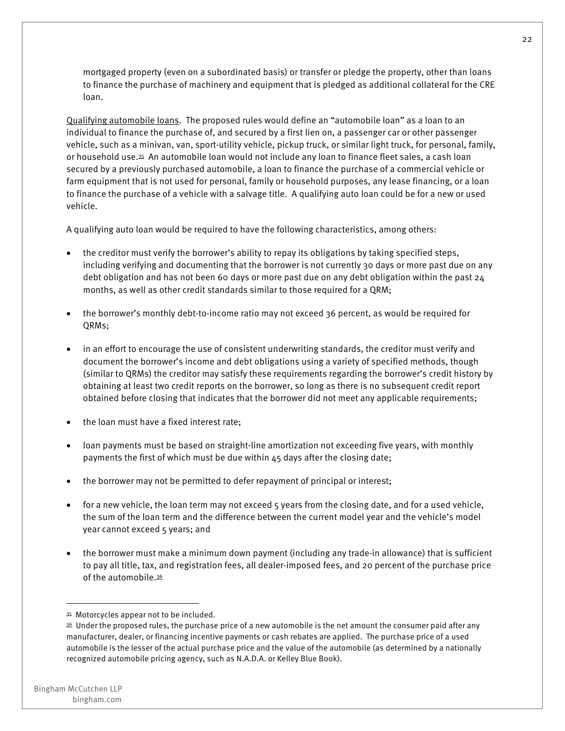mortgaged property (even on a subordinated basis) or transfer or pledge the property, other than loans to finance the purchase of machinery and equipment that is pledged as additional collateral for the CRE loan.

Qualifying automobile loans. The proposed rules would define an "automobile loan" as a loan to an individual to finance the purchase of, and secured by a first lien on, a passenger car or other passenger vehicle, such as a minivan, van, sport-utility vehicle, pickup truck, or similar light truck, for personal, family, or household use.35 An automobile loan would not include any loan to finance fleet sales, a cash loan secured by a previously purchased automobile, a loan to finance the purchase of a commercial vehicle or farm equipment that is not used for personal, family or household purposes, any lease financing, or a loan to finance the purchase of a vehicle with a salvage title. A qualifying auto loan could be for a new or used vehicle.

A qualifying auto loan would be required to have the following characteristics, among others:

- the creditor must verify the borrower's ability to repay its obligations by taking specified steps, including verifying and documenting that the borrower is not currently 30 days or more past due on any debt obligation and has not been 60 days or more past due on any debt obligation within the past 24 months, as well as other credit standards similar to those required for a QRM;
- the borrower's monthly debt-to-income ratio may not exceed 36 percent, as would be required for QRMs;
- in an effort to encourage the use of consistent underwriting standards, the creditor must verify and document the borrower's income and debt obligations using a variety of specified methods, though (similar to QRMs) the creditor may satisfy these requirements regarding the borrower's credit history by obtaining at least two credit reports on the borrower, so long as there is no subsequent credit report obtained before closing that indicates that the borrower did not meet any applicable requirements;
- the loan must have a fixed interest rate;
- loan payments must be based on straight-line amortization not exceeding five years, with monthly payments the first of which must be due within 45 days after the closing date;
- the borrower may not be permitted to defer repayment of principal or interest;
- for a new vehicle, the loan term may not exceed 5 years from the closing date, and for a used vehicle, the sum of the loan term and the difference between the current model year and the vehicle's model year cannot exceed 5 years; and
- the borrower must make a minimum down payment (including any trade-in allowance) that is sufficient to pay all title, tax, and registration fees, all dealer-imposed fees, and 20 percent of the purchase price of the automobile.36

<sup>35</sup> Motorcycles appear not to be included.

<sup>36</sup> Under the proposed rules, the purchase price of a new automobile is the net amount the consumer paid after any manufacturer, dealer, or financing incentive payments or cash rebates are applied. The purchase price of a used automobile is the lesser of the actual purchase price and the value of the automobile (as determined by a nationally recognized automobile pricing agency, such as N.A.D.A. or Kelley Blue Book).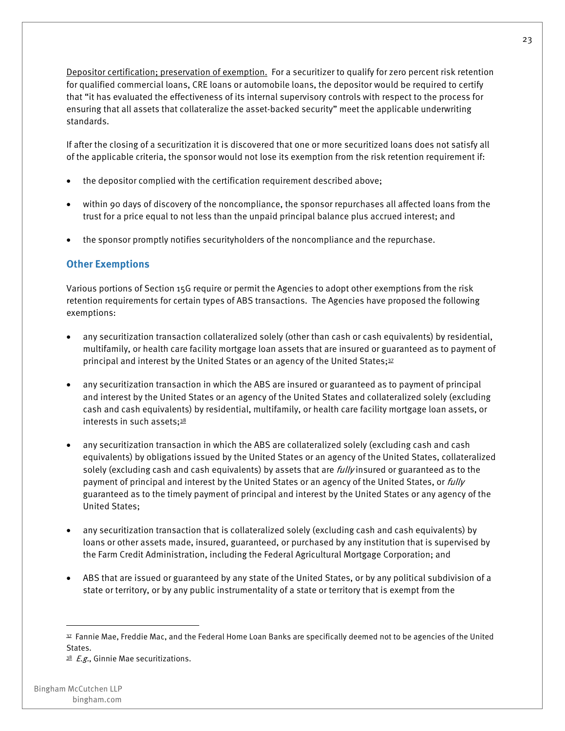Depositor certification; preservation of exemption. For a securitizer to qualify for zero percent risk retention for qualified commercial loans, CRE loans or automobile loans, the depositor would be required to certify that "it has evaluated the effectiveness of its internal supervisory controls with respect to the process for ensuring that all assets that collateralize the asset-backed security" meet the applicable underwriting standards.

If after the closing of a securitization it is discovered that one or more securitized loans does not satisfy all of the applicable criteria, the sponsor would not lose its exemption from the risk retention requirement if:

- the depositor complied with the certification requirement described above;
- within 90 days of discovery of the noncompliance, the sponsor repurchases all affected loans from the trust for a price equal to not less than the unpaid principal balance plus accrued interest; and
- the sponsor promptly notifies securityholders of the noncompliance and the repurchase.

#### **Other Exemptions**

Various portions of Section 15G require or permit the Agencies to adopt other exemptions from the risk retention requirements for certain types of ABS transactions. The Agencies have proposed the following exemptions:

- any securitization transaction collateralized solely (other than cash or cash equivalents) by residential, multifamily, or health care facility mortgage loan assets that are insured or guaranteed as to payment of principal and interest by the United States or an agency of the United States;<sup>37</sup>
- any securitization transaction in which the ABS are insured or guaranteed as to payment of principal and interest by the United States or an agency of the United States and collateralized solely (excluding cash and cash equivalents) by residential, multifamily, or health care facility mortgage loan assets, or interests in such assets;<sup>38</sup>
- any securitization transaction in which the ABS are collateralized solely (excluding cash and cash equivalents) by obligations issued by the United States or an agency of the United States, collateralized solely (excluding cash and cash equivalents) by assets that are *fully* insured or guaranteed as to the payment of principal and interest by the United States or an agency of the United States, or *fully* guaranteed as to the timely payment of principal and interest by the United States or any agency of the United States;
- any securitization transaction that is collateralized solely (excluding cash and cash equivalents) by loans or other assets made, insured, guaranteed, or purchased by any institution that is supervised by the Farm Credit Administration, including the Federal Agricultural Mortgage Corporation; and
- ABS that are issued or guaranteed by any state of the United States, or by any political subdivision of a state or territory, or by any public instrumentality of a state or territory that is exempt from the

<sup>37</sup> Fannie Mae, Freddie Mac, and the Federal Home Loan Banks are specifically deemed not to be agencies of the United States.

 $38$  *E.g.*, Ginnie Mae securitizations.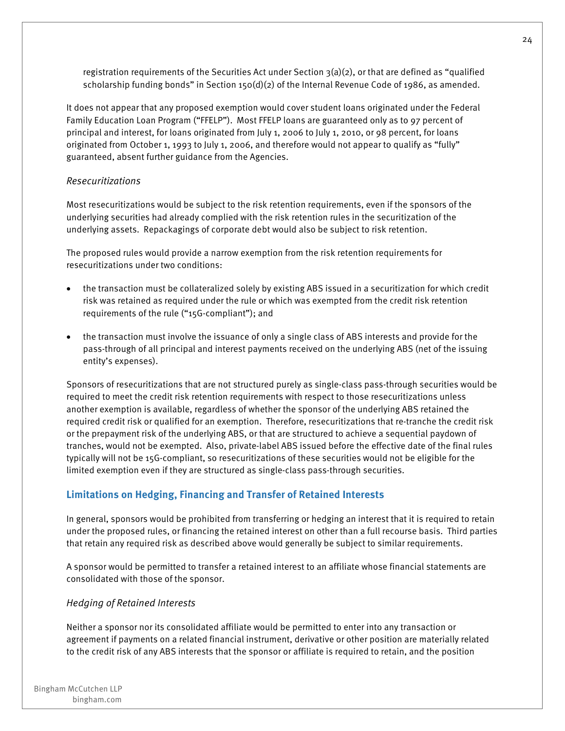registration requirements of the Securities Act under Section 3(a)(2), or that are defined as "qualified scholarship funding bonds" in Section 150(d)(2) of the Internal Revenue Code of 1986, as amended.

It does not appear that any proposed exemption would cover student loans originated under the Federal Family Education Loan Program ("FFELP"). Most FFELP loans are guaranteed only as to 97 percent of principal and interest, for loans originated from July 1, 2006 to July 1, 2010, or 98 percent, for loans originated from October 1, 1993 to July 1, 2006, and therefore would not appear to qualify as "fully" guaranteed, absent further guidance from the Agencies.

#### *Resecuritizations*

Most resecuritizations would be subject to the risk retention requirements, even if the sponsors of the underlying securities had already complied with the risk retention rules in the securitization of the underlying assets. Repackagings of corporate debt would also be subject to risk retention.

The proposed rules would provide a narrow exemption from the risk retention requirements for resecuritizations under two conditions:

- the transaction must be collateralized solely by existing ABS issued in a securitization for which credit risk was retained as required under the rule or which was exempted from the credit risk retention requirements of the rule ("15G-compliant"); and
- the transaction must involve the issuance of only a single class of ABS interests and provide for the pass-through of all principal and interest payments received on the underlying ABS (net of the issuing entity's expenses).

Sponsors of resecuritizations that are not structured purely as single-class pass-through securities would be required to meet the credit risk retention requirements with respect to those resecuritizations unless another exemption is available, regardless of whether the sponsor of the underlying ABS retained the required credit risk or qualified for an exemption. Therefore, resecuritizations that re-tranche the credit risk or the prepayment risk of the underlying ABS, or that are structured to achieve a sequential paydown of tranches, would not be exempted. Also, private-label ABS issued before the effective date of the final rules typically will not be 15G-compliant, so resecuritizations of these securities would not be eligible for the limited exemption even if they are structured as single-class pass-through securities.

#### **Limitations on Hedging, Financing and Transfer of Retained Interests**

In general, sponsors would be prohibited from transferring or hedging an interest that it is required to retain under the proposed rules, or financing the retained interest on other than a full recourse basis. Third parties that retain any required risk as described above would generally be subject to similar requirements.

A sponsor would be permitted to transfer a retained interest to an affiliate whose financial statements are consolidated with those of the sponsor.

#### *Hedging of Retained Interests*

Neither a sponsor nor its consolidated affiliate would be permitted to enter into any transaction or agreement if payments on a related financial instrument, derivative or other position are materially related to the credit risk of any ABS interests that the sponsor or affiliate is required to retain, and the position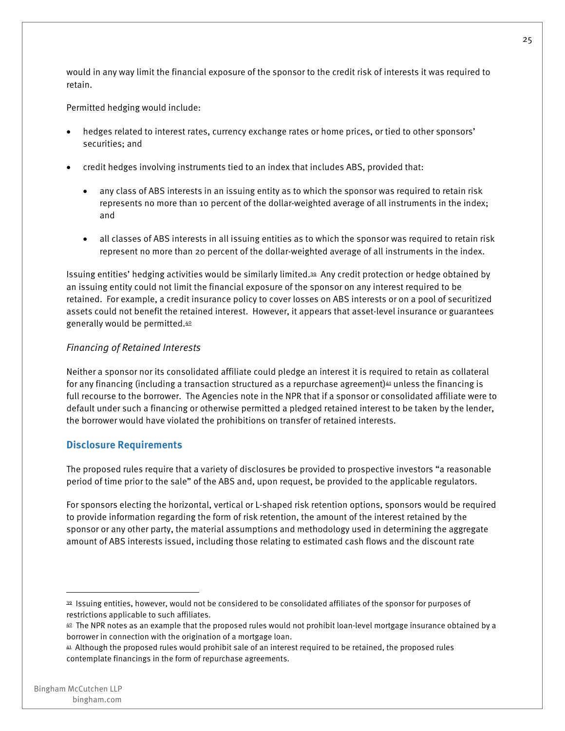would in any way limit the financial exposure of the sponsor to the credit risk of interests it was required to retain.

Permitted hedging would include:

- hedges related to interest rates, currency exchange rates or home prices, or tied to other sponsors' securities; and
- credit hedges involving instruments tied to an index that includes ABS, provided that:
	- any class of ABS interests in an issuing entity as to which the sponsor was required to retain risk represents no more than 10 percent of the dollar-weighted average of all instruments in the index; and
	- all classes of ABS interests in all issuing entities as to which the sponsor was required to retain risk represent no more than 20 percent of the dollar-weighted average of all instruments in the index.

Issuing entities' hedging activities would be similarly limited.39 Any credit protection or hedge obtained by an issuing entity could not limit the financial exposure of the sponsor on any interest required to be retained. For example, a credit insurance policy to cover losses on ABS interests or on a pool of securitized assets could not benefit the retained interest. However, it appears that asset-level insurance or guarantees generally would be permitted.40

#### *Financing of Retained Interests*

Neither a sponsor nor its consolidated affiliate could pledge an interest it is required to retain as collateral for any financing (including a transaction structured as a repurchase agreement) $41$  unless the financing is full recourse to the borrower. The Agencies note in the NPR that if a sponsor or consolidated affiliate were to default under such a financing or otherwise permitted a pledged retained interest to be taken by the lender, the borrower would have violated the prohibitions on transfer of retained interests.

#### **Disclosure Requirements**

The proposed rules require that a variety of disclosures be provided to prospective investors "a reasonable period of time prior to the sale" of the ABS and, upon request, be provided to the applicable regulators.

For sponsors electing the horizontal, vertical or L-shaped risk retention options, sponsors would be required to provide information regarding the form of risk retention, the amount of the interest retained by the sponsor or any other party, the material assumptions and methodology used in determining the aggregate amount of ABS interests issued, including those relating to estimated cash flows and the discount rate

<sup>39</sup> Issuing entities, however, would not be considered to be consolidated affiliates of the sponsor for purposes of restrictions applicable to such affiliates.

<sup>40</sup> The NPR notes as an example that the proposed rules would not prohibit loan-level mortgage insurance obtained by a borrower in connection with the origination of a mortgage loan.

<sup>41</sup> Although the proposed rules would prohibit sale of an interest required to be retained, the proposed rules contemplate financings in the form of repurchase agreements.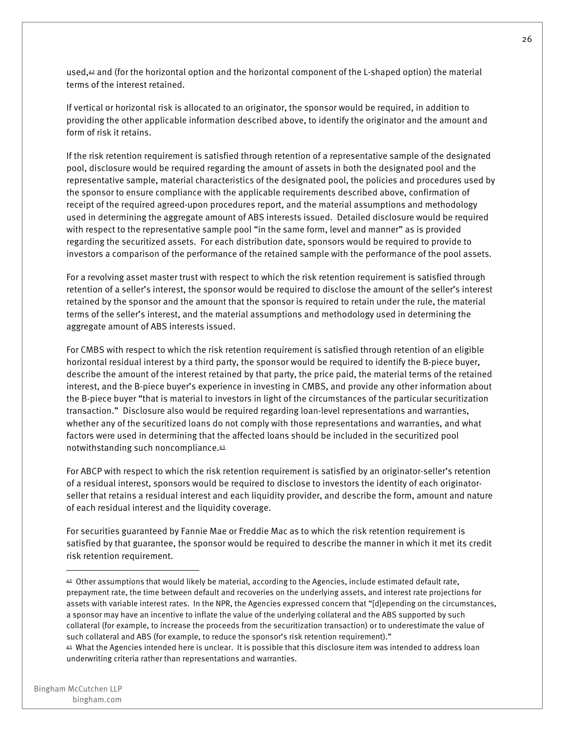used, $42$  and (for the horizontal option and the horizontal component of the L-shaped option) the material terms of the interest retained.

If vertical or horizontal risk is allocated to an originator, the sponsor would be required, in addition to providing the other applicable information described above, to identify the originator and the amount and form of risk it retains.

If the risk retention requirement is satisfied through retention of a representative sample of the designated pool, disclosure would be required regarding the amount of assets in both the designated pool and the representative sample, material characteristics of the designated pool, the policies and procedures used by the sponsor to ensure compliance with the applicable requirements described above, confirmation of receipt of the required agreed-upon procedures report, and the material assumptions and methodology used in determining the aggregate amount of ABS interests issued. Detailed disclosure would be required with respect to the representative sample pool "in the same form, level and manner" as is provided regarding the securitized assets. For each distribution date, sponsors would be required to provide to investors a comparison of the performance of the retained sample with the performance of the pool assets.

For a revolving asset master trust with respect to which the risk retention requirement is satisfied through retention of a seller's interest, the sponsor would be required to disclose the amount of the seller's interest retained by the sponsor and the amount that the sponsor is required to retain under the rule, the material terms of the seller's interest, and the material assumptions and methodology used in determining the aggregate amount of ABS interests issued.

For CMBS with respect to which the risk retention requirement is satisfied through retention of an eligible horizontal residual interest by a third party, the sponsor would be required to identify the B-piece buyer, describe the amount of the interest retained by that party, the price paid, the material terms of the retained interest, and the B-piece buyer's experience in investing in CMBS, and provide any other information about the B-piece buyer "that is material to investors in light of the circumstances of the particular securitization transaction." Disclosure also would be required regarding loan-level representations and warranties, whether any of the securitized loans do not comply with those representations and warranties, and what factors were used in determining that the affected loans should be included in the securitized pool notwithstanding such noncompliance.43

For ABCP with respect to which the risk retention requirement is satisfied by an originator-seller's retention of a residual interest, sponsors would be required to disclose to investors the identity of each originatorseller that retains a residual interest and each liquidity provider, and describe the form, amount and nature of each residual interest and the liquidity coverage.

For securities guaranteed by Fannie Mae or Freddie Mac as to which the risk retention requirement is satisfied by that guarantee, the sponsor would be required to describe the manner in which it met its credit risk retention requirement.

<sup>42</sup> Other assumptions that would likely be material, according to the Agencies, include estimated default rate, prepayment rate, the time between default and recoveries on the underlying assets, and interest rate projections for assets with variable interest rates. In the NPR, the Agencies expressed concern that "[d]epending on the circumstances, a sponsor may have an incentive to inflate the value of the underlying collateral and the ABS supported by such collateral (for example, to increase the proceeds from the securitization transaction) or to underestimate the value of such collateral and ABS (for example, to reduce the sponsor's risk retention requirement)."

<sup>43</sup> What the Agencies intended here is unclear. It is possible that this disclosure item was intended to address loan underwriting criteria rather than representations and warranties.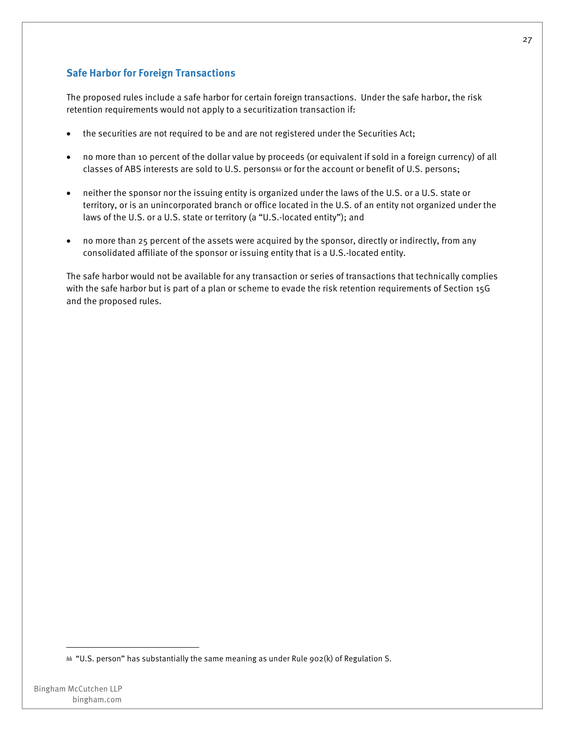#### **Safe Harbor for Foreign Transactions**

The proposed rules include a safe harbor for certain foreign transactions. Under the safe harbor, the risk retention requirements would not apply to a securitization transaction if:

- the securities are not required to be and are not registered under the Securities Act;
- no more than 10 percent of the dollar value by proceeds (or equivalent if sold in a foreign currency) of all classes of ABS interests are sold to U.S. persons<sup>44</sup> or for the account or benefit of U.S. persons;
- neither the sponsor nor the issuing entity is organized under the laws of the U.S. or a U.S. state or territory, or is an unincorporated branch or office located in the U.S. of an entity not organized under the laws of the U.S. or a U.S. state or territory (a "U.S.-located entity"); and
- no more than 25 percent of the assets were acquired by the sponsor, directly or indirectly, from any consolidated affiliate of the sponsor or issuing entity that is a U.S.-located entity.

The safe harbor would not be available for any transaction or series of transactions that technically complies with the safe harbor but is part of a plan or scheme to evade the risk retention requirements of Section 15G and the proposed rules.

<sup>44 &</sup>quot;U.S. person" has substantially the same meaning as under Rule 902(k) of Regulation S.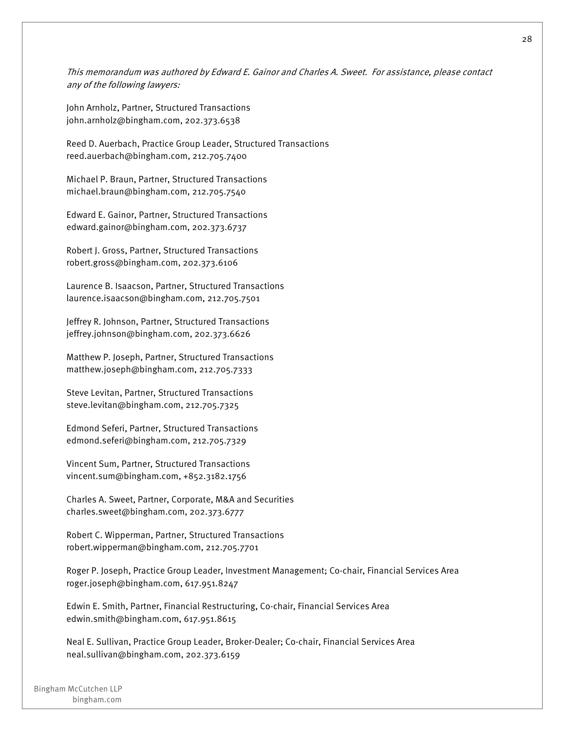This memorandum was authored by Edward E. Gainor and Charles A. Sweet. For assistance, please contact any of the following lawyers:

John Arnholz, Partner, Structured Transactions john.arnholz@bingham.com, 202.373.6538

Reed D. Auerbach, Practice Group Leader, Structured Transactions reed.auerbach@bingham.com, 212.705.7400

Michael P. Braun, Partner, Structured Transactions michael.braun@bingham.com, 212.705.7540

Edward E. Gainor, Partner, Structured Transactions edward.gainor@bingham.com, 202.373.6737

Robert J. Gross, Partner, Structured Transactions robert.gross@bingham.com, 202.373.6106

Laurence B. Isaacson, Partner, Structured Transactions laurence.isaacson@bingham.com, 212.705.7501

Jeffrey R. Johnson, Partner, Structured Transactions jeffrey.johnson@bingham.com, 202.373.6626

Matthew P. Joseph, Partner, Structured Transactions matthew.joseph@bingham.com, 212.705.7333

Steve Levitan, Partner, Structured Transactions steve.levitan@bingham.com, 212.705.7325

Edmond Seferi, Partner, Structured Transactions edmond.seferi@bingham.com, 212.705.7329

Vincent Sum, Partner, Structured Transactions vincent.sum@bingham.com, +852.3182.1756

Charles A. Sweet, Partner, Corporate, M&A and Securities charles.sweet@bingham.com, 202.373.6777

Robert C. Wipperman, Partner, Structured Transactions robert.wipperman@bingham.com, 212.705.7701

Roger P. Joseph, Practice Group Leader, Investment Management; Co-chair, Financial Services Area roger.joseph@bingham.com, 617.951.8247

Edwin E. Smith, Partner, Financial Restructuring, Co-chair, Financial Services Area edwin.smith@bingham.com, 617.951.8615

Neal E. Sullivan, Practice Group Leader, Broker-Dealer; Co-chair, Financial Services Area neal.sullivan@bingham.com, 202.373.6159

Bingham McCutchen LLP bingham.com